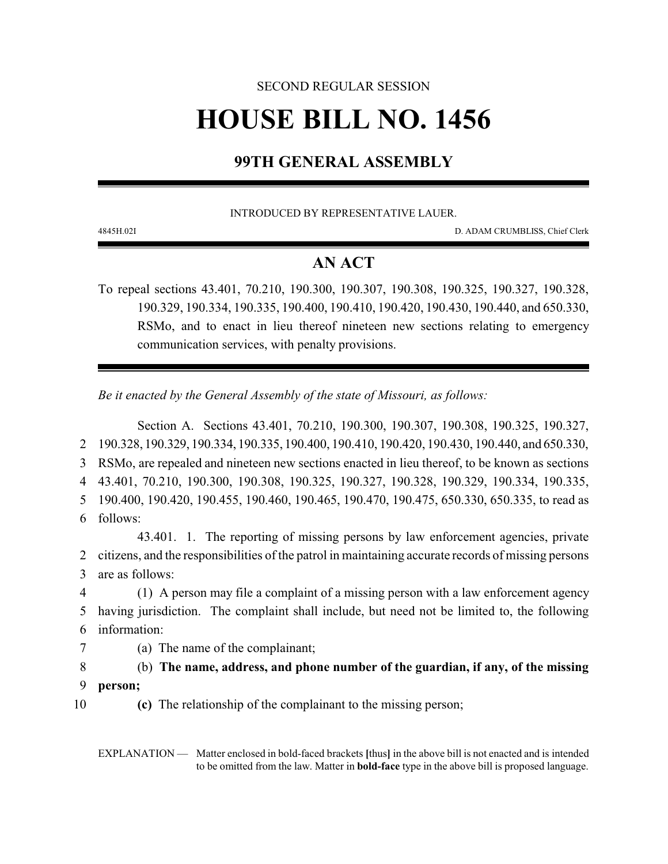# SECOND REGULAR SESSION **HOUSE BILL NO. 1456**

# **99TH GENERAL ASSEMBLY**

INTRODUCED BY REPRESENTATIVE LAUER.

4845H.02I D. ADAM CRUMBLISS, Chief Clerk

# **AN ACT**

To repeal sections 43.401, 70.210, 190.300, 190.307, 190.308, 190.325, 190.327, 190.328, 190.329, 190.334, 190.335, 190.400, 190.410, 190.420, 190.430, 190.440, and 650.330, RSMo, and to enact in lieu thereof nineteen new sections relating to emergency communication services, with penalty provisions.

*Be it enacted by the General Assembly of the state of Missouri, as follows:*

Section A. Sections 43.401, 70.210, 190.300, 190.307, 190.308, 190.325, 190.327, 190.328, 190.329, 190.334, 190.335, 190.400, 190.410, 190.420, 190.430, 190.440, and 650.330, RSMo, are repealed and nineteen new sections enacted in lieu thereof, to be known as sections 43.401, 70.210, 190.300, 190.308, 190.325, 190.327, 190.328, 190.329, 190.334, 190.335, 190.400, 190.420, 190.455, 190.460, 190.465, 190.470, 190.475, 650.330, 650.335, to read as 6 follows: 43.401. 1. The reporting of missing persons by law enforcement agencies, private citizens, and the responsibilities of the patrol in maintaining accurate records of missing persons are as follows: (1) A person may file a complaint of a missing person with a law enforcement agency having jurisdiction. The complaint shall include, but need not be limited to, the following information: (a) The name of the complainant; (b) **The name, address, and phone number of the guardian, if any, of the missing**

9 **person;**

10 **(c)** The relationship of the complainant to the missing person;

EXPLANATION — Matter enclosed in bold-faced brackets **[**thus**]** in the above bill is not enacted and is intended to be omitted from the law. Matter in **bold-face** type in the above bill is proposed language.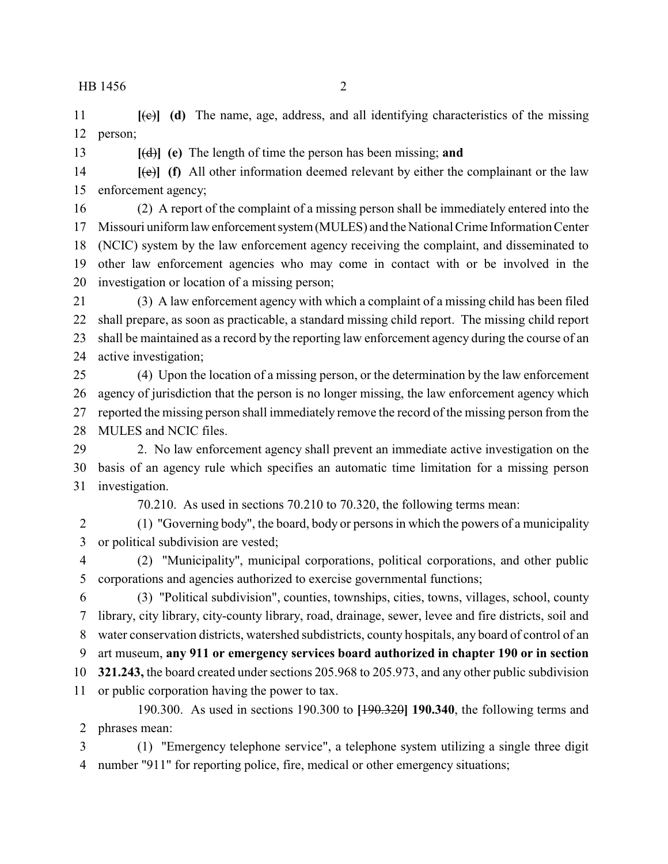**[**(c)**] (d)** The name, age, address, and all identifying characteristics of the missing person;

**[**(d)**] (e)** The length of time the person has been missing; **and**

 **[**(e)**] (f)** All other information deemed relevant by either the complainant or the law enforcement agency;

 (2) A report of the complaint of a missing person shall be immediately entered into the 17 Missouri uniform law enforcement system (MULES) and the National Crime Information Center (NCIC) system by the law enforcement agency receiving the complaint, and disseminated to other law enforcement agencies who may come in contact with or be involved in the investigation or location of a missing person;

 (3) A law enforcement agency with which a complaint of a missing child has been filed shall prepare, as soon as practicable, a standard missing child report. The missing child report shall be maintained as a record by the reporting law enforcement agency during the course of an active investigation;

 (4) Upon the location of a missing person, or the determination by the law enforcement agency of jurisdiction that the person is no longer missing, the law enforcement agency which reported the missing person shall immediately remove the record of the missing person from the MULES and NCIC files.

 2. No law enforcement agency shall prevent an immediate active investigation on the basis of an agency rule which specifies an automatic time limitation for a missing person investigation.

70.210. As used in sections 70.210 to 70.320, the following terms mean:

 (1) "Governing body", the board, body or persons in which the powers of a municipality or political subdivision are vested;

 (2) "Municipality", municipal corporations, political corporations, and other public corporations and agencies authorized to exercise governmental functions;

 (3) "Political subdivision", counties, townships, cities, towns, villages, school, county library, city library, city-county library, road, drainage, sewer, levee and fire districts, soil and water conservation districts, watershed subdistricts, county hospitals, any board of control of an art museum, **any 911 or emergency services board authorized in chapter 190 or in section 321.243,** the board created under sections 205.968 to 205.973, and any other public subdivision

or public corporation having the power to tax.

190.300. As used in sections 190.300 to **[**190.320**] 190.340**, the following terms and phrases mean:

 (1) "Emergency telephone service", a telephone system utilizing a single three digit number "911" for reporting police, fire, medical or other emergency situations;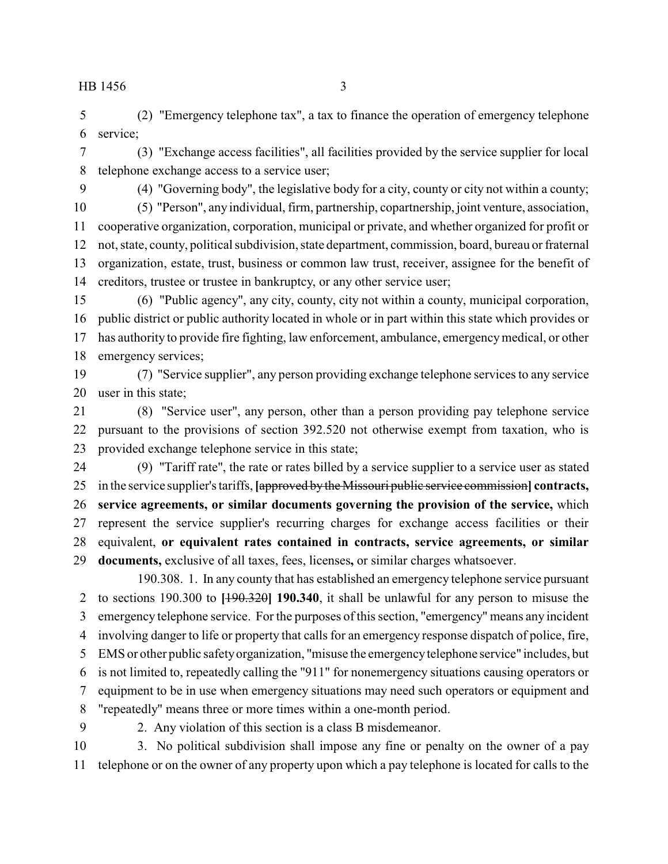(2) "Emergency telephone tax", a tax to finance the operation of emergency telephone service;

 (3) "Exchange access facilities", all facilities provided by the service supplier for local telephone exchange access to a service user;

(4) "Governing body", the legislative body for a city, county or city not within a county;

 (5) "Person", any individual, firm, partnership, copartnership, joint venture, association, cooperative organization, corporation, municipal or private, and whether organized for profit or not, state, county, political subdivision, state department, commission, board, bureau or fraternal organization, estate, trust, business or common law trust, receiver, assignee for the benefit of creditors, trustee or trustee in bankruptcy, or any other service user;

 (6) "Public agency", any city, county, city not within a county, municipal corporation, public district or public authority located in whole or in part within this state which provides or has authority to provide fire fighting, law enforcement, ambulance, emergencymedical, or other emergency services;

 (7) "Service supplier", any person providing exchange telephone services to any service user in this state;

 (8) "Service user", any person, other than a person providing pay telephone service pursuant to the provisions of section 392.520 not otherwise exempt from taxation, who is provided exchange telephone service in this state;

 (9) "Tariff rate", the rate or rates billed by a service supplier to a service user as stated in the service supplier's tariffs, **[**approved bythe Missouri public service commission**] contracts, service agreements, or similar documents governing the provision of the service,** which represent the service supplier's recurring charges for exchange access facilities or their equivalent, **or equivalent rates contained in contracts, service agreements, or similar documents,** exclusive of all taxes, fees, licenses**,** or similar charges whatsoever.

190.308. 1. In any county that has established an emergency telephone service pursuant to sections 190.300 to **[**190.320**] 190.340**, it shall be unlawful for any person to misuse the emergency telephone service. For the purposes of this section, "emergency" means any incident involving danger to life or property that calls for an emergency response dispatch of police, fire, EMS or other public safetyorganization, "misuse the emergencytelephone service" includes, but is not limited to, repeatedly calling the "911" for nonemergency situations causing operators or equipment to be in use when emergency situations may need such operators or equipment and "repeatedly" means three or more times within a one-month period.

2. Any violation of this section is a class B misdemeanor.

 3. No political subdivision shall impose any fine or penalty on the owner of a pay telephone or on the owner of any property upon which a pay telephone is located for calls to the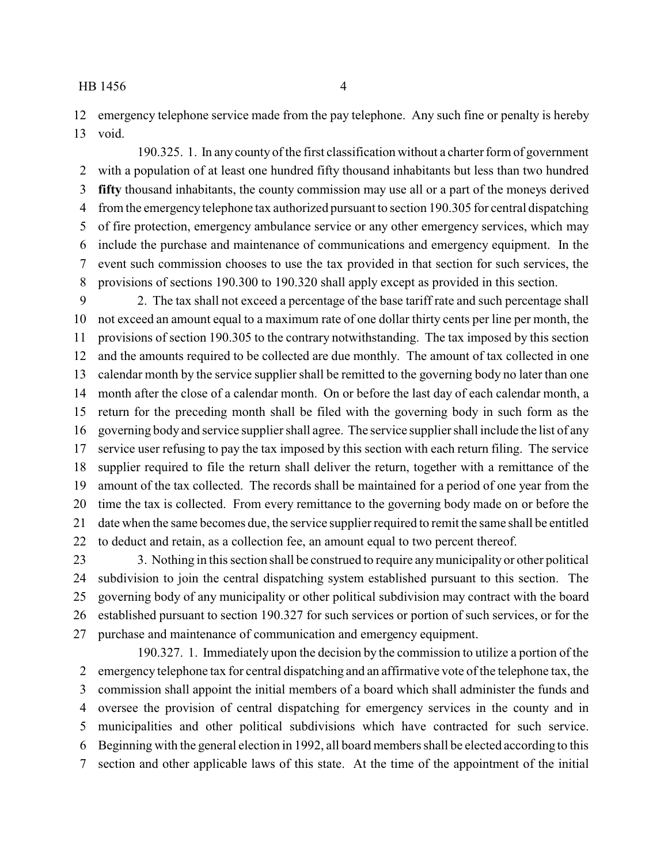emergency telephone service made from the pay telephone. Any such fine or penalty is hereby void.

190.325. 1. In any county of the first classification without a charter form of government with a population of at least one hundred fifty thousand inhabitants but less than two hundred **fifty** thousand inhabitants, the county commission may use all or a part of the moneys derived from the emergencytelephone tax authorized pursuant to section 190.305 for central dispatching of fire protection, emergency ambulance service or any other emergency services, which may include the purchase and maintenance of communications and emergency equipment. In the event such commission chooses to use the tax provided in that section for such services, the provisions of sections 190.300 to 190.320 shall apply except as provided in this section.

 2. The tax shall not exceed a percentage of the base tariff rate and such percentage shall not exceed an amount equal to a maximum rate of one dollar thirty cents per line per month, the provisions of section 190.305 to the contrary notwithstanding. The tax imposed by this section and the amounts required to be collected are due monthly. The amount of tax collected in one calendar month by the service supplier shall be remitted to the governing body no later than one month after the close of a calendar month. On or before the last day of each calendar month, a return for the preceding month shall be filed with the governing body in such form as the governing body and service supplier shall agree. The service supplier shall include the list of any service user refusing to pay the tax imposed by this section with each return filing. The service supplier required to file the return shall deliver the return, together with a remittance of the amount of the tax collected. The records shall be maintained for a period of one year from the time the tax is collected. From every remittance to the governing body made on or before the date when the same becomes due, the service supplier required to remit the same shall be entitled to deduct and retain, as a collection fee, an amount equal to two percent thereof.

 3. Nothing in this section shall be construed to require anymunicipality or other political subdivision to join the central dispatching system established pursuant to this section. The governing body of any municipality or other political subdivision may contract with the board established pursuant to section 190.327 for such services or portion of such services, or for the purchase and maintenance of communication and emergency equipment.

190.327. 1. Immediately upon the decision by the commission to utilize a portion of the emergency telephone tax for central dispatching and an affirmative vote of the telephone tax, the commission shall appoint the initial members of a board which shall administer the funds and oversee the provision of central dispatching for emergency services in the county and in municipalities and other political subdivisions which have contracted for such service. Beginning with the general election in 1992, all board members shall be elected according to this section and other applicable laws of this state. At the time of the appointment of the initial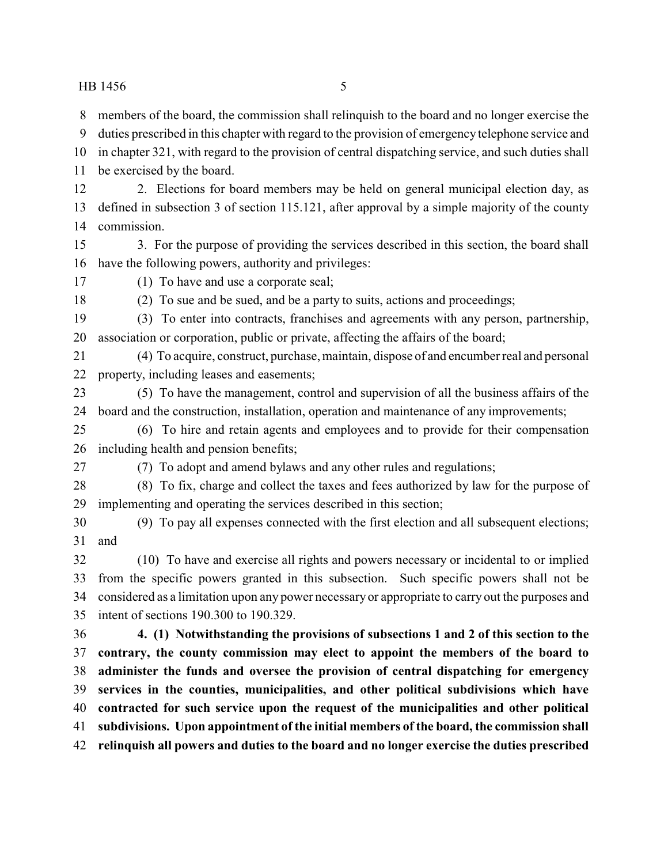members of the board, the commission shall relinquish to the board and no longer exercise the

- duties prescribed in this chapter with regard to the provision of emergency telephone service and
- in chapter 321, with regard to the provision of central dispatching service, and such duties shall
- be exercised by the board.
- 2. Elections for board members may be held on general municipal election day, as defined in subsection 3 of section 115.121, after approval by a simple majority of the county commission.
- 3. For the purpose of providing the services described in this section, the board shall have the following powers, authority and privileges:
- (1) To have and use a corporate seal;
- (2) To sue and be sued, and be a party to suits, actions and proceedings;
- (3) To enter into contracts, franchises and agreements with any person, partnership, association or corporation, public or private, affecting the affairs of the board;
- (4) To acquire, construct, purchase, maintain, dispose of and encumber real and personal property, including leases and easements;
- (5) To have the management, control and supervision of all the business affairs of the board and the construction, installation, operation and maintenance of any improvements;
- (6) To hire and retain agents and employees and to provide for their compensation including health and pension benefits;
- 

(7) To adopt and amend bylaws and any other rules and regulations;

- (8) To fix, charge and collect the taxes and fees authorized by law for the purpose of implementing and operating the services described in this section;
- (9) To pay all expenses connected with the first election and all subsequent elections; and
- (10) To have and exercise all rights and powers necessary or incidental to or implied from the specific powers granted in this subsection. Such specific powers shall not be considered as a limitation upon any power necessaryor appropriate to carry out the purposes and intent of sections 190.300 to 190.329.
- **4. (1) Notwithstanding the provisions of subsections 1 and 2 of this section to the contrary, the county commission may elect to appoint the members of the board to administer the funds and oversee the provision of central dispatching for emergency services in the counties, municipalities, and other political subdivisions which have contracted for such service upon the request of the municipalities and other political subdivisions. Upon appointment of the initial members of the board, the commission shall relinquish all powers and duties to the board and no longer exercise the duties prescribed**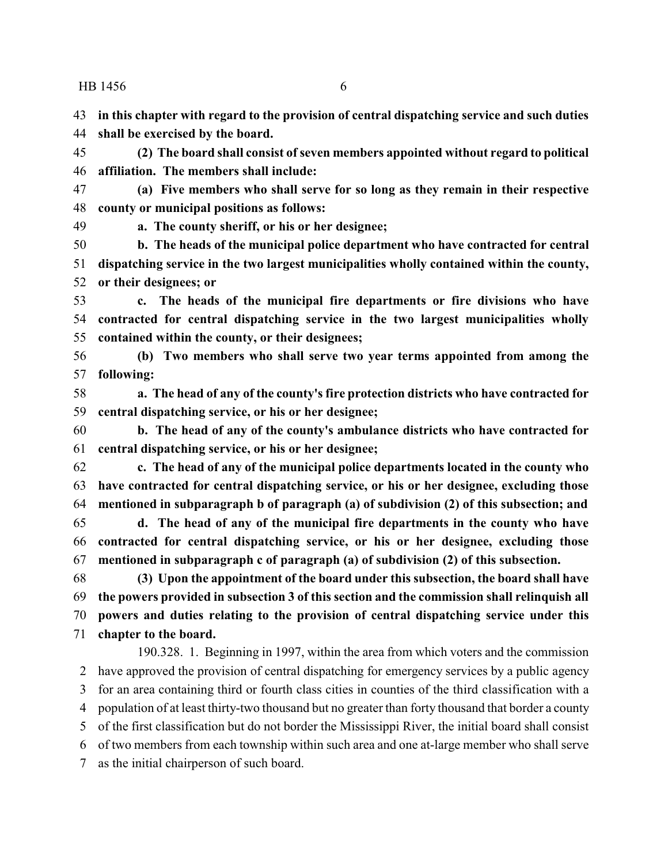**in this chapter with regard to the provision of central dispatching service and such duties**

**shall be exercised by the board.**

 **(2) The board shall consist of seven members appointed without regard to political affiliation. The members shall include:**

 **(a) Five members who shall serve for so long as they remain in their respective county or municipal positions as follows:**

**a. The county sheriff, or his or her designee;**

 **b. The heads of the municipal police department who have contracted for central dispatching service in the two largest municipalities wholly contained within the county, or their designees; or**

 **c. The heads of the municipal fire departments or fire divisions who have contracted for central dispatching service in the two largest municipalities wholly contained within the county, or their designees;**

 **(b) Two members who shall serve two year terms appointed from among the following:**

 **a. The head of any of the county's fire protection districts who have contracted for central dispatching service, or his or her designee;**

 **b. The head of any of the county's ambulance districts who have contracted for central dispatching service, or his or her designee;**

 **c. The head of any of the municipal police departments located in the county who have contracted for central dispatching service, or his or her designee, excluding those mentioned in subparagraph b of paragraph (a) of subdivision (2) of this subsection; and**

 **d. The head of any of the municipal fire departments in the county who have contracted for central dispatching service, or his or her designee, excluding those mentioned in subparagraph c of paragraph (a) of subdivision (2) of this subsection.**

 **(3) Upon the appointment of the board under this subsection, the board shall have the powers provided in subsection 3 of this section and the commission shall relinquish all powers and duties relating to the provision of central dispatching service under this chapter to the board.**

190.328. 1. Beginning in 1997, within the area from which voters and the commission have approved the provision of central dispatching for emergency services by a public agency for an area containing third or fourth class cities in counties of the third classification with a population of at least thirty-two thousand but no greater than forty thousand that border a county of the first classification but do not border the Mississippi River, the initial board shall consist of two members from each township within such area and one at-large member who shall serve as the initial chairperson of such board.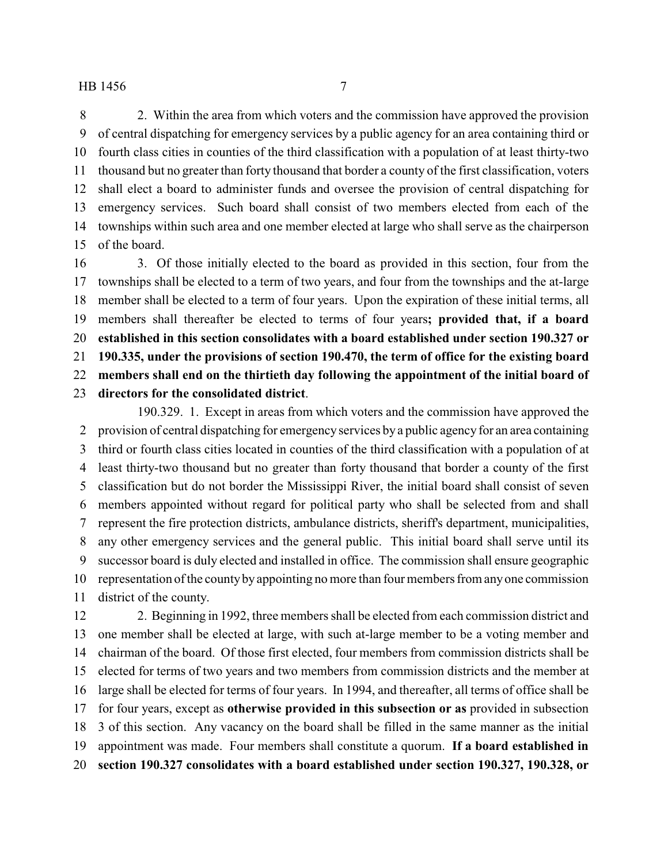2. Within the area from which voters and the commission have approved the provision of central dispatching for emergency services by a public agency for an area containing third or fourth class cities in counties of the third classification with a population of at least thirty-two thousand but no greater than forty thousand that border a county of the first classification, voters shall elect a board to administer funds and oversee the provision of central dispatching for emergency services. Such board shall consist of two members elected from each of the townships within such area and one member elected at large who shall serve as the chairperson of the board.

 3. Of those initially elected to the board as provided in this section, four from the townships shall be elected to a term of two years, and four from the townships and the at-large member shall be elected to a term of four years. Upon the expiration of these initial terms, all members shall thereafter be elected to terms of four years**; provided that, if a board established in this section consolidates with a board established under section 190.327 or 190.335, under the provisions of section 190.470, the term of office for the existing board members shall end on the thirtieth day following the appointment of the initial board of directors for the consolidated district**.

190.329. 1. Except in areas from which voters and the commission have approved the provision of central dispatching for emergencyservices by a public agency for an area containing third or fourth class cities located in counties of the third classification with a population of at least thirty-two thousand but no greater than forty thousand that border a county of the first classification but do not border the Mississippi River, the initial board shall consist of seven members appointed without regard for political party who shall be selected from and shall represent the fire protection districts, ambulance districts, sheriff's department, municipalities, any other emergency services and the general public. This initial board shall serve until its successor board is duly elected and installed in office. The commission shall ensure geographic representation of the countybyappointing no more than four members from anyone commission district of the county.

 2. Beginning in 1992, three members shall be elected from each commission district and one member shall be elected at large, with such at-large member to be a voting member and chairman of the board. Of those first elected, four members from commission districts shall be elected for terms of two years and two members from commission districts and the member at large shall be elected for terms of four years. In 1994, and thereafter, all terms of office shall be for four years, except as **otherwise provided in this subsection or as** provided in subsection 3 of this section. Any vacancy on the board shall be filled in the same manner as the initial appointment was made. Four members shall constitute a quorum. **If a board established in section 190.327 consolidates with a board established under section 190.327, 190.328, or**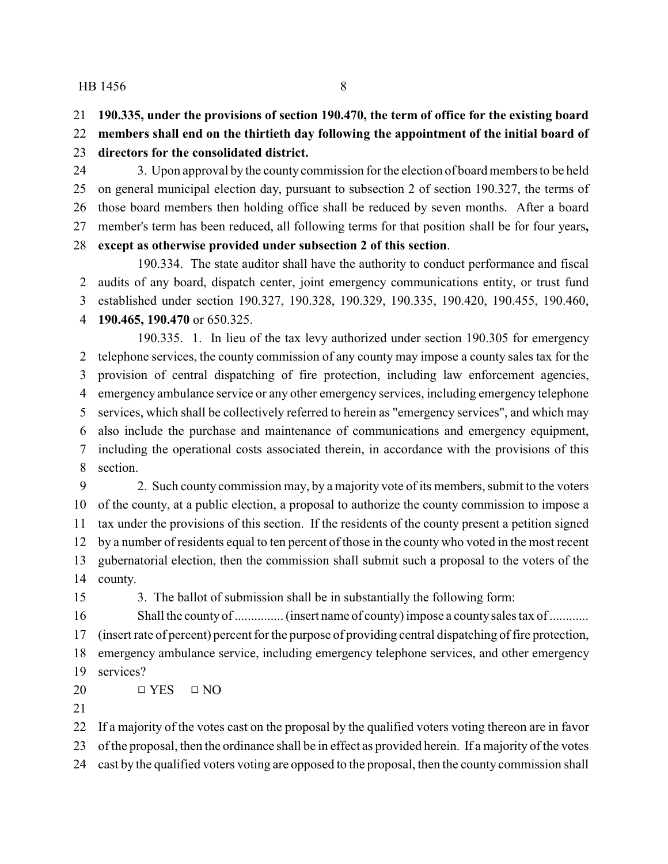**190.335, under the provisions of section 190.470, the term of office for the existing board**

 **members shall end on the thirtieth day following the appointment of the initial board of directors for the consolidated district.**

 3. Upon approval by the county commission for the election of board members to be held on general municipal election day, pursuant to subsection 2 of section 190.327, the terms of those board members then holding office shall be reduced by seven months. After a board member's term has been reduced, all following terms for that position shall be for four years**,**

# **except as otherwise provided under subsection 2 of this section**.

190.334. The state auditor shall have the authority to conduct performance and fiscal audits of any board, dispatch center, joint emergency communications entity, or trust fund established under section 190.327, 190.328, 190.329, 190.335, 190.420, 190.455, 190.460, **190.465, 190.470** or 650.325.

190.335. 1. In lieu of the tax levy authorized under section 190.305 for emergency telephone services, the county commission of any county may impose a county sales tax for the provision of central dispatching of fire protection, including law enforcement agencies, emergency ambulance service or any other emergency services, including emergency telephone services, which shall be collectively referred to herein as "emergency services", and which may also include the purchase and maintenance of communications and emergency equipment, including the operational costs associated therein, in accordance with the provisions of this section.

 2. Such county commission may, by a majority vote of its members, submit to the voters of the county, at a public election, a proposal to authorize the county commission to impose a tax under the provisions of this section. If the residents of the county present a petition signed by a number of residents equal to ten percent of those in the county who voted in the most recent gubernatorial election, then the commission shall submit such a proposal to the voters of the county.

3. The ballot of submission shall be in substantially the following form:

 Shall the county of ............... (insert name of county) impose a countysales tax of ............ (insert rate of percent) percent for the purpose of providing central dispatching of fire protection, emergency ambulance service, including emergency telephone services, and other emergency services?

 $\Box$  YES  $\Box$  NO

 If a majority of the votes cast on the proposal by the qualified voters voting thereon are in favor of the proposal, then the ordinance shall be in effect as provided herein. If a majority of the votes

cast by the qualified voters voting are opposed to the proposal, then the county commission shall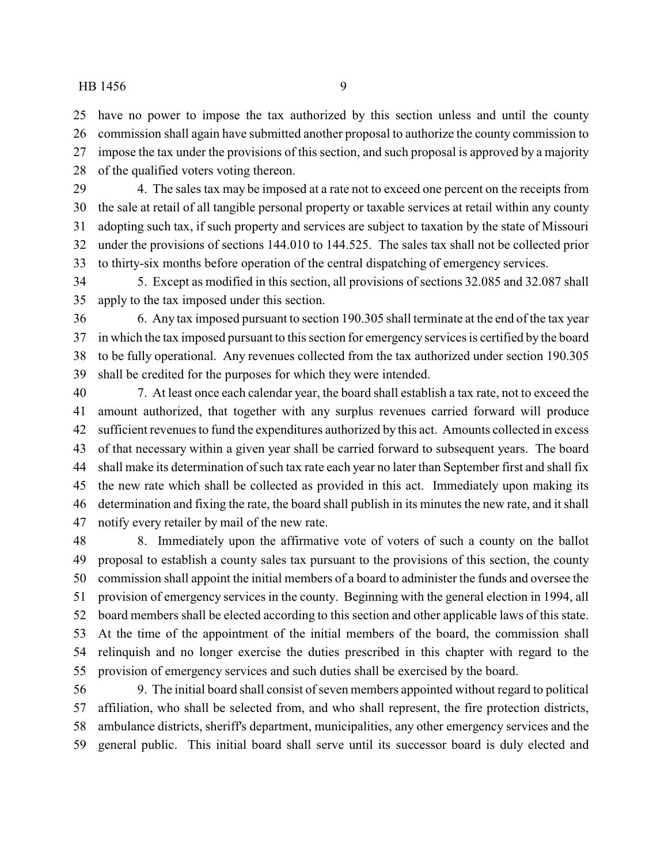have no power to impose the tax authorized by this section unless and until the county commission shall again have submitted another proposal to authorize the county commission to impose the tax under the provisions of this section, and such proposal is approved by a majority of the qualified voters voting thereon.

 4. The sales tax may be imposed at a rate not to exceed one percent on the receipts from the sale at retail of all tangible personal property or taxable services at retail within any county adopting such tax, if such property and services are subject to taxation by the state of Missouri under the provisions of sections 144.010 to 144.525. The sales tax shall not be collected prior to thirty-six months before operation of the central dispatching of emergency services.

 5. Except as modified in this section, all provisions of sections 32.085 and 32.087 shall apply to the tax imposed under this section.

 6. Any tax imposed pursuant to section 190.305 shall terminate at the end of the tax year in which the tax imposed pursuant to this section for emergency services is certified by the board to be fully operational. Any revenues collected from the tax authorized under section 190.305 shall be credited for the purposes for which they were intended.

 7. At least once each calendar year, the board shall establish a tax rate, not to exceed the amount authorized, that together with any surplus revenues carried forward will produce sufficient revenues to fund the expenditures authorized by this act. Amounts collected in excess of that necessary within a given year shall be carried forward to subsequent years. The board shall make its determination of such tax rate each year no later than September first and shall fix the new rate which shall be collected as provided in this act. Immediately upon making its determination and fixing the rate, the board shall publish in its minutes the new rate, and it shall notify every retailer by mail of the new rate.

 8. Immediately upon the affirmative vote of voters of such a county on the ballot proposal to establish a county sales tax pursuant to the provisions of this section, the county commission shall appoint the initial members of a board to administer the funds and oversee the provision of emergency services in the county. Beginning with the general election in 1994, all board members shall be elected according to this section and other applicable laws of this state. At the time of the appointment of the initial members of the board, the commission shall relinquish and no longer exercise the duties prescribed in this chapter with regard to the provision of emergency services and such duties shall be exercised by the board.

 9. The initial board shall consist of seven members appointed without regard to political affiliation, who shall be selected from, and who shall represent, the fire protection districts, ambulance districts, sheriff's department, municipalities, any other emergency services and the general public. This initial board shall serve until its successor board is duly elected and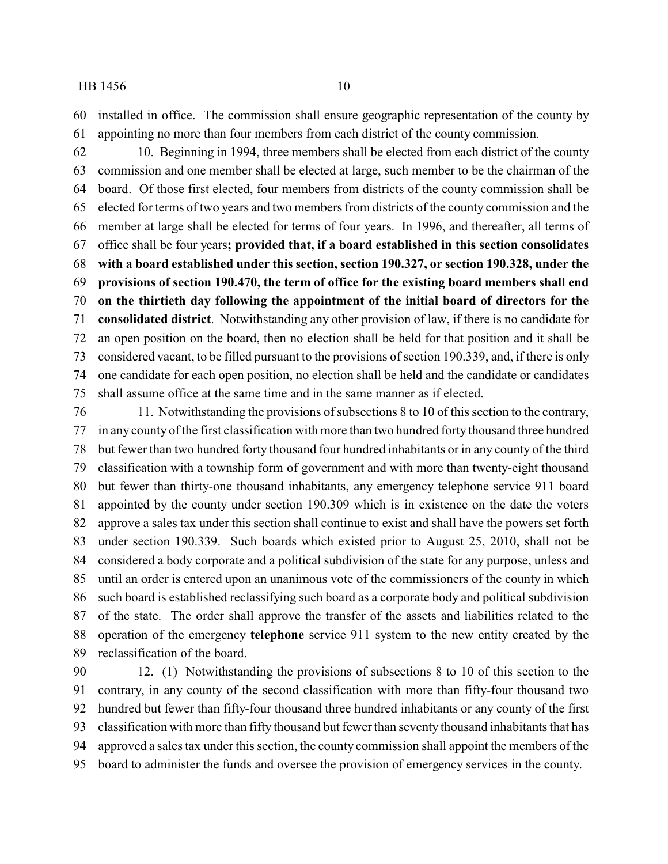installed in office. The commission shall ensure geographic representation of the county by appointing no more than four members from each district of the county commission.

 10. Beginning in 1994, three members shall be elected from each district of the county commission and one member shall be elected at large, such member to be the chairman of the board. Of those first elected, four members from districts of the county commission shall be elected for terms of two years and two members from districts of the county commission and the member at large shall be elected for terms of four years. In 1996, and thereafter, all terms of office shall be four years**; provided that, if a board established in this section consolidates with a board established under this section, section 190.327, or section 190.328, under the provisions of section 190.470, the term of office for the existing board members shall end on the thirtieth day following the appointment of the initial board of directors for the consolidated district**. Notwithstanding any other provision of law, if there is no candidate for an open position on the board, then no election shall be held for that position and it shall be considered vacant, to be filled pursuant to the provisions of section 190.339, and, if there is only one candidate for each open position, no election shall be held and the candidate or candidates shall assume office at the same time and in the same manner as if elected.

 11. Notwithstanding the provisions of subsections 8 to 10 of this section to the contrary, in any county of the first classification with more than two hundred forty thousand three hundred but fewer than two hundred forty thousand four hundred inhabitants or in any county of the third classification with a township form of government and with more than twenty-eight thousand but fewer than thirty-one thousand inhabitants, any emergency telephone service 911 board appointed by the county under section 190.309 which is in existence on the date the voters approve a sales tax under this section shall continue to exist and shall have the powers set forth under section 190.339. Such boards which existed prior to August 25, 2010, shall not be considered a body corporate and a political subdivision of the state for any purpose, unless and until an order is entered upon an unanimous vote of the commissioners of the county in which such board is established reclassifying such board as a corporate body and political subdivision of the state. The order shall approve the transfer of the assets and liabilities related to the operation of the emergency **telephone** service 911 system to the new entity created by the reclassification of the board.

 12. (1) Notwithstanding the provisions of subsections 8 to 10 of this section to the contrary, in any county of the second classification with more than fifty-four thousand two hundred but fewer than fifty-four thousand three hundred inhabitants or any county of the first classification with more than fifty thousand but fewer than seventy thousand inhabitants that has approved a sales tax under this section, the county commission shall appoint the members of the board to administer the funds and oversee the provision of emergency services in the county.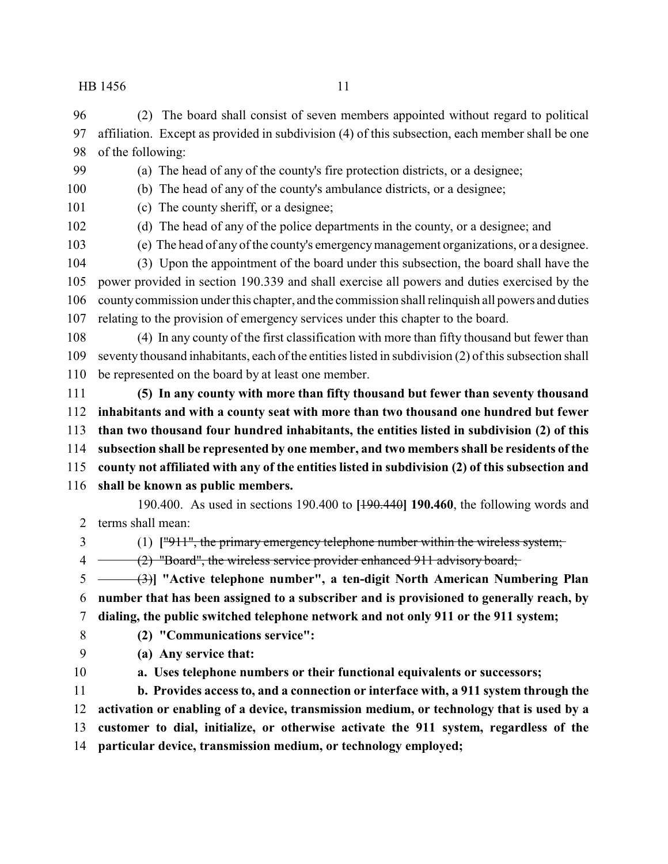(2) The board shall consist of seven members appointed without regard to political affiliation. Except as provided in subdivision (4) of this subsection, each member shall be one of the following:

(a) The head of any of the county's fire protection districts, or a designee;

(b) The head of any of the county's ambulance districts, or a designee;

- (c) The county sheriff, or a designee;
- 

(d) The head of any of the police departments in the county, or a designee; and

(e) The head of any of the county's emergencymanagement organizations, or a designee.

 (3) Upon the appointment of the board under this subsection, the board shall have the power provided in section 190.339 and shall exercise all powers and duties exercised by the countycommission under this chapter, and the commission shall relinquish all powers and duties relating to the provision of emergency services under this chapter to the board.

 (4) In any county of the first classification with more than fifty thousand but fewer than seventy thousand inhabitants, each of the entities listed in subdivision (2) of this subsection shall be represented on the board by at least one member.

 **(5) In any county with more than fifty thousand but fewer than seventy thousand inhabitants and with a county seat with more than two thousand one hundred but fewer than two thousand four hundred inhabitants, the entities listed in subdivision (2) of this subsection shall be represented by one member, and two members shall be residents of the county not affiliated with any of the entities listed in subdivision (2) of this subsection and**

**shall be known as public members.**

190.400. As used in sections 190.400 to **[**190.440**] 190.460**, the following words and terms shall mean:

(1) **[**"911", the primary emergency telephone number within the wireless system;

4 (2) "Board", the wireless service provider enhanced 911 advisory board;

 (3)**] "Active telephone number", a ten-digit North American Numbering Plan number that has been assigned to a subscriber and is provisioned to generally reach, by dialing, the public switched telephone network and not only 911 or the 911 system;**

**(2) "Communications service":**

- **(a) Any service that:**
- 

**a. Uses telephone numbers or their functional equivalents or successors;**

 **b. Provides access to, and a connection or interface with, a 911 system through the activation or enabling of a device, transmission medium, or technology that is used by a customer to dial, initialize, or otherwise activate the 911 system, regardless of the particular device, transmission medium, or technology employed;**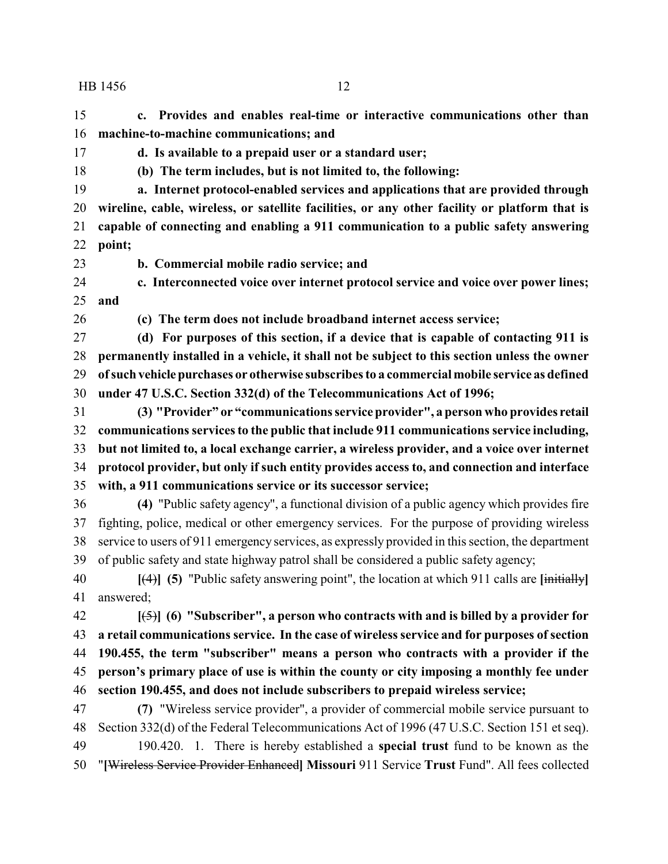**c. Provides and enables real-time or interactive communications other than machine-to-machine communications; and**

**d. Is available to a prepaid user or a standard user;**

**(b) The term includes, but is not limited to, the following:**

 **a. Internet protocol-enabled services and applications that are provided through wireline, cable, wireless, or satellite facilities, or any other facility or platform that is capable of connecting and enabling a 911 communication to a public safety answering point;**

**b. Commercial mobile radio service; and**

 **c. Interconnected voice over internet protocol service and voice over power lines; and**

**(c) The term does not include broadband internet access service;**

 **(d) For purposes of this section, if a device that is capable of contacting 911 is permanently installed in a vehicle, it shall not be subject to this section unless the owner ofsuch vehiclepurchases or otherwise subscribes to a commercial mobile service as defined under 47 U.S.C. Section 332(d) of the Telecommunications Act of 1996;**

 **(3) "Provider" or "communications service provider", a person who provides retail communications services to the public that include 911 communications service including, but not limited to, a local exchange carrier, a wireless provider, and a voice over internet protocol provider, but only if such entity provides access to, and connection and interface with, a 911 communications service or its successor service;**

 **(4)** "Public safety agency", a functional division of a public agency which provides fire fighting, police, medical or other emergency services. For the purpose of providing wireless service to users of 911 emergency services, as expressly provided in this section, the department of public safety and state highway patrol shall be considered a public safety agency;

 **[**(4)**] (5)** "Public safety answering point", the location at which 911 calls are **[**initially**]** answered;

 **[**(5)**] (6) "Subscriber", a person who contracts with and is billed by a provider for a retail communications service. In the case of wireless service and for purposes of section 190.455, the term "subscriber" means a person who contracts with a provider if the person's primary place of use is within the county or city imposing a monthly fee under section 190.455, and does not include subscribers to prepaid wireless service;**

 **(7)** "Wireless service provider", a provider of commercial mobile service pursuant to Section 332(d) of the Federal Telecommunications Act of 1996 (47 U.S.C. Section 151 et seq). 190.420. 1. There is hereby established a **special trust** fund to be known as the "**[**Wireless Service Provider Enhanced**] Missouri** 911 Service **Trust** Fund". All fees collected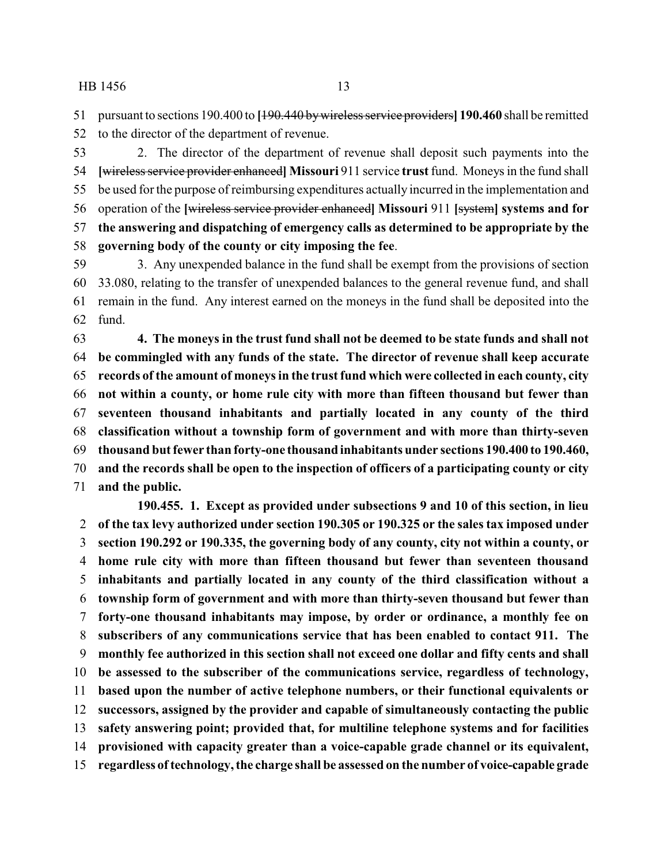pursuant to sections 190.400 to **[**190.440 bywireless service providers**] 190.460** shall be remitted

to the director of the department of revenue.

 2. The director of the department of revenue shall deposit such payments into the **[**wireless service provider enhanced**] Missouri** 911 service **trust**fund. Moneys in the fund shall be used for the purpose of reimbursing expenditures actually incurred in the implementation and operation of the **[**wireless service provider enhanced**] Missouri** 911 **[**system**] systems and for the answering and dispatching of emergency calls as determined to be appropriate by the governing body of the county or city imposing the fee**.

 3. Any unexpended balance in the fund shall be exempt from the provisions of section 33.080, relating to the transfer of unexpended balances to the general revenue fund, and shall remain in the fund. Any interest earned on the moneys in the fund shall be deposited into the fund.

 **4. The moneys in the trust fund shall not be deemed to be state funds and shall not be commingled with any funds of the state. The director of revenue shall keep accurate records of the amount of moneys in the trust fund which were collected in each county, city not within a county, or home rule city with more than fifteen thousand but fewer than seventeen thousand inhabitants and partially located in any county of the third classification without a township form of government and with more than thirty-seven thousand but fewer than forty-one thousand inhabitants under sections 190.400 to 190.460, and the records shall be open to the inspection of officers of a participating county or city and the public.**

**190.455. 1. Except as provided under subsections 9 and 10 of this section, in lieu of the tax levy authorized under section 190.305 or 190.325 or the sales tax imposed under section 190.292 or 190.335, the governing body of any county, city not within a county, or home rule city with more than fifteen thousand but fewer than seventeen thousand inhabitants and partially located in any county of the third classification without a township form of government and with more than thirty-seven thousand but fewer than forty-one thousand inhabitants may impose, by order or ordinance, a monthly fee on subscribers of any communications service that has been enabled to contact 911. The monthly fee authorized in this section shall not exceed one dollar and fifty cents and shall be assessed to the subscriber of the communications service, regardless of technology, based upon the number of active telephone numbers, or their functional equivalents or successors, assigned by the provider and capable of simultaneously contacting the public safety answering point; provided that, for multiline telephone systems and for facilities provisioned with capacity greater than a voice-capable grade channel or its equivalent, regardless oftechnology, the charge shall be assessed on the number of voice-capable grade**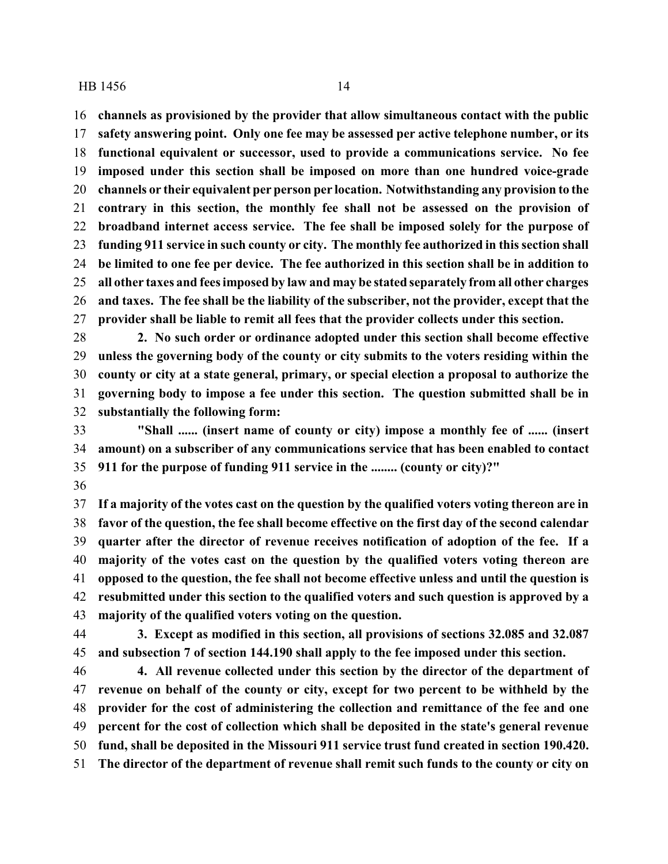**channels as provisioned by the provider that allow simultaneous contact with the public**

 **safety answering point. Only one fee may be assessed per active telephone number, or its functional equivalent or successor, used to provide a communications service. No fee imposed under this section shall be imposed on more than one hundred voice-grade channels or their equivalent per person per location. Notwithstanding any provision to the contrary in this section, the monthly fee shall not be assessed on the provision of broadband internet access service. The fee shall be imposed solely for the purpose of funding 911 service in such county or city. The monthly fee authorized in this section shall be limited to one fee per device. The fee authorized in this section shall be in addition to all other taxes and fees imposed by law and may be stated separately from all other charges and taxes. The fee shall be the liability of the subscriber, not the provider, except that the provider shall be liable to remit all fees that the provider collects under this section.**

 **2. No such order or ordinance adopted under this section shall become effective unless the governing body of the county or city submits to the voters residing within the county or city at a state general, primary, or special election a proposal to authorize the governing body to impose a fee under this section. The question submitted shall be in substantially the following form:**

 **"Shall ...... (insert name of county or city) impose a monthly fee of ...... (insert amount) on a subscriber of any communications service that has been enabled to contact 911 for the purpose of funding 911 service in the ........ (county or city)?"**

 **If a majority of the votes cast on the question by the qualified voters voting thereon are in favor of the question, the fee shall become effective on the first day of the second calendar quarter after the director of revenue receives notification of adoption of the fee. If a majority of the votes cast on the question by the qualified voters voting thereon are opposed to the question, the fee shall not become effective unless and until the question is resubmitted under this section to the qualified voters and such question is approved by a majority of the qualified voters voting on the question.**

 **3. Except as modified in this section, all provisions of sections 32.085 and 32.087 and subsection 7 of section 144.190 shall apply to the fee imposed under this section.**

 **4. All revenue collected under this section by the director of the department of revenue on behalf of the county or city, except for two percent to be withheld by the provider for the cost of administering the collection and remittance of the fee and one percent for the cost of collection which shall be deposited in the state's general revenue fund, shall be deposited in the Missouri 911 service trust fund created in section 190.420. The director of the department of revenue shall remit such funds to the county or city on**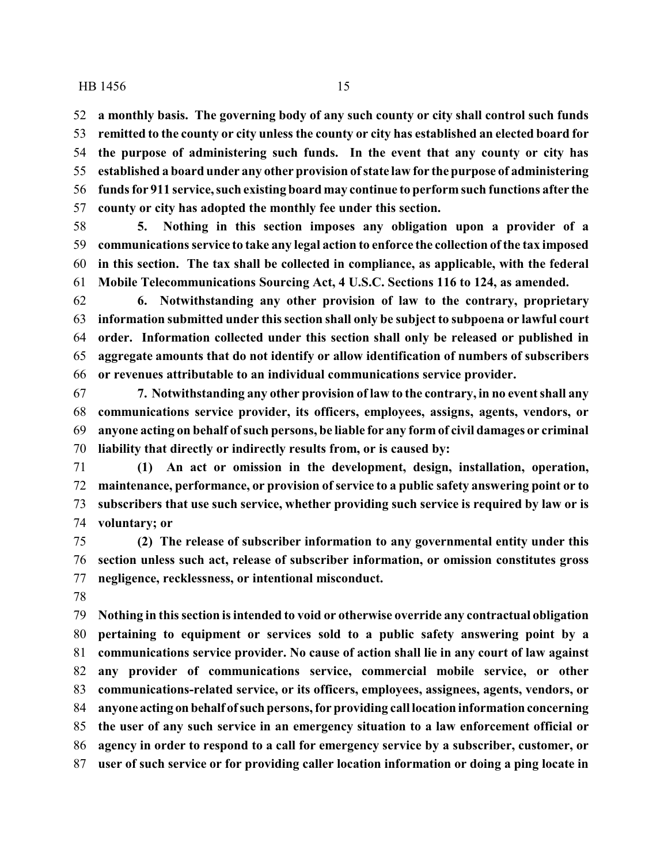**a monthly basis. The governing body of any such county or city shall control such funds remitted to the county or city unless the county or city has established an elected board for the purpose of administering such funds. In the event that any county or city has established a board under any other provision ofstate law for the purpose of administering funds for 911 service, such existing board may continue to perform such functions after the county or city has adopted the monthly fee under this section.**

 **5. Nothing in this section imposes any obligation upon a provider of a communications service to take any legal action to enforce the collection of the tax imposed in this section. The tax shall be collected in compliance, as applicable, with the federal Mobile Telecommunications Sourcing Act, 4 U.S.C. Sections 116 to 124, as amended.**

 **6. Notwithstanding any other provision of law to the contrary, proprietary information submitted under this section shall only be subject to subpoena or lawful court order. Information collected under this section shall only be released or published in aggregate amounts that do not identify or allow identification of numbers of subscribers or revenues attributable to an individual communications service provider.**

 **7. Notwithstanding any other provision of law to the contrary, in no event shall any communications service provider, its officers, employees, assigns, agents, vendors, or anyone acting on behalf ofsuch persons, be liable for any form of civil damages or criminal liability that directly or indirectly results from, or is caused by:**

 **(1) An act or omission in the development, design, installation, operation, maintenance, performance, or provision of service to a public safety answering point or to subscribers that use such service, whether providing such service is required by law or is voluntary; or**

 **(2) The release of subscriber information to any governmental entity under this section unless such act, release of subscriber information, or omission constitutes gross negligence, recklessness, or intentional misconduct.**

 **Nothing in this section is intended to void or otherwise override any contractual obligation pertaining to equipment or services sold to a public safety answering point by a communications service provider. No cause of action shall lie in any court of law against any provider of communications service, commercial mobile service, or other communications-related service, or its officers, employees, assignees, agents, vendors, or anyone acting on behalf ofsuch persons, for providing call location information concerning the user of any such service in an emergency situation to a law enforcement official or agency in order to respond to a call for emergency service by a subscriber, customer, or user of such service or for providing caller location information or doing a ping locate in**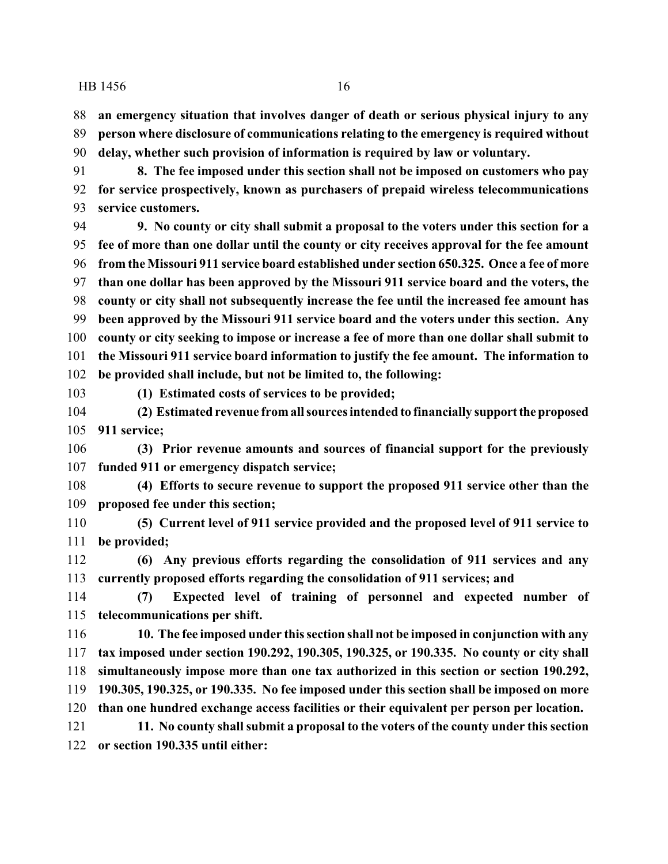**an emergency situation that involves danger of death or serious physical injury to any person where disclosure of communications relating to the emergency is required without delay, whether such provision of information is required by law or voluntary.**

 **8. The fee imposed under this section shall not be imposed on customers who pay for service prospectively, known as purchasers of prepaid wireless telecommunications service customers.**

 **9. No county or city shall submit a proposal to the voters under this section for a fee of more than one dollar until the county or city receives approval for the fee amount from the Missouri 911 service board established under section 650.325. Once a fee of more than one dollar has been approved by the Missouri 911 service board and the voters, the county or city shall not subsequently increase the fee until the increased fee amount has been approved by the Missouri 911 service board and the voters under this section. Any county or city seeking to impose or increase a fee of more than one dollar shall submit to the Missouri 911 service board information to justify the fee amount. The information to be provided shall include, but not be limited to, the following:**

**(1) Estimated costs of services to be provided;**

 **(2) Estimated revenue fromall sources intended to financially supporttheproposed 911 service;**

 **(3) Prior revenue amounts and sources of financial support for the previously funded 911 or emergency dispatch service;**

 **(4) Efforts to secure revenue to support the proposed 911 service other than the proposed fee under this section;**

 **(5) Current level of 911 service provided and the proposed level of 911 service to be provided;**

 **(6) Any previous efforts regarding the consolidation of 911 services and any currently proposed efforts regarding the consolidation of 911 services; and**

 **(7) Expected level of training of personnel and expected number of telecommunications per shift.**

 **10. The fee imposed under this section shall not be imposed in conjunction with any tax imposed under section 190.292, 190.305, 190.325, or 190.335. No county or city shall simultaneously impose more than one tax authorized in this section or section 190.292, 190.305, 190.325, or 190.335. No fee imposed under this section shall be imposed on more than one hundred exchange access facilities or their equivalent per person per location.**

 **11. No county shall submit a proposal to the voters of the county under this section or section 190.335 until either:**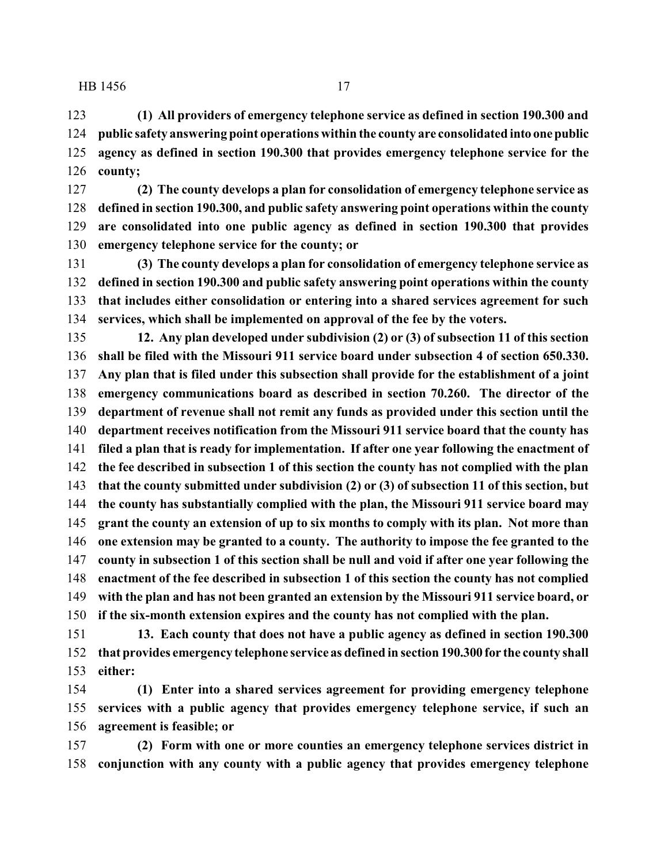**(1) All providers of emergency telephone service as defined in section 190.300 and public safety answering point operations within the county are consolidated into onepublic agency as defined in section 190.300 that provides emergency telephone service for the county;**

 **(2) The county develops a plan for consolidation of emergency telephone service as defined in section 190.300, and public safety answering point operations within the county are consolidated into one public agency as defined in section 190.300 that provides emergency telephone service for the county; or**

 **(3) The county develops a plan for consolidation of emergency telephone service as defined in section 190.300 and public safety answering point operations within the county that includes either consolidation or entering into a shared services agreement for such services, which shall be implemented on approval of the fee by the voters.**

 **12. Any plan developed under subdivision (2) or (3) of subsection 11 of this section shall be filed with the Missouri 911 service board under subsection 4 of section 650.330. Any plan that is filed under this subsection shall provide for the establishment of a joint emergency communications board as described in section 70.260. The director of the department of revenue shall not remit any funds as provided under this section until the department receives notification from the Missouri 911 service board that the county has filed a plan that is ready for implementation. If after one year following the enactment of the fee described in subsection 1 of this section the county has not complied with the plan that the county submitted under subdivision (2) or (3) of subsection 11 of this section, but the county has substantially complied with the plan, the Missouri 911 service board may grant the county an extension of up to six months to comply with its plan. Not more than one extension may be granted to a county. The authority to impose the fee granted to the county in subsection 1 of this section shall be null and void if after one year following the enactment of the fee described in subsection 1 of this section the county has not complied with the plan and has not been granted an extension by the Missouri 911 service board, or if the six-month extension expires and the county has not complied with the plan.**

 **13. Each county that does not have a public agency as defined in section 190.300 that provides emergency telephone service as defined in section 190.300 for the county shall either:**

 **(1) Enter into a shared services agreement for providing emergency telephone services with a public agency that provides emergency telephone service, if such an agreement is feasible; or**

 **(2) Form with one or more counties an emergency telephone services district in conjunction with any county with a public agency that provides emergency telephone**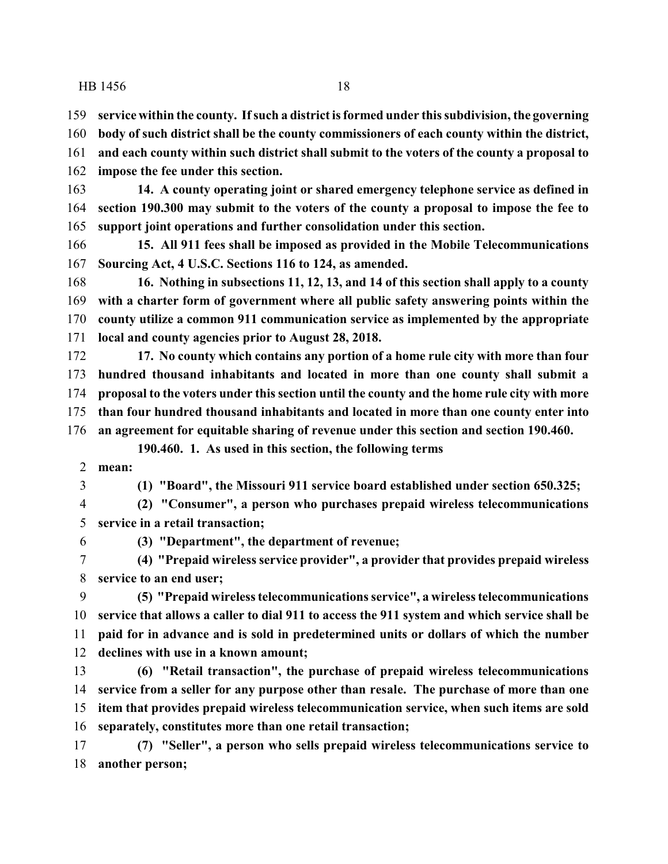**impose the fee under this section.**

 **service within the county. Ifsuch a district is formed under this subdivision, the governing body of such district shall be the county commissioners of each county within the district, and each county within such district shall submit to the voters of the county a proposal to**

 **14. A county operating joint or shared emergency telephone service as defined in section 190.300 may submit to the voters of the county a proposal to impose the fee to support joint operations and further consolidation under this section. 15. All 911 fees shall be imposed as provided in the Mobile Telecommunications Sourcing Act, 4 U.S.C. Sections 116 to 124, as amended. 16. Nothing in subsections 11, 12, 13, and 14 of this section shall apply to a county with a charter form of government where all public safety answering points within the county utilize a common 911 communication service as implemented by the appropriate local and county agencies prior to August 28, 2018. 17. No county which contains any portion of a home rule city with more than four hundred thousand inhabitants and located in more than one county shall submit a proposal to the voters under this section until the county and the home rule city with more than four hundred thousand inhabitants and located in more than one county enter into an agreement for equitable sharing of revenue under this section and section 190.460. 190.460. 1. As used in this section, the following terms mean: (1) "Board", the Missouri 911 service board established under section 650.325; (2) "Consumer", a person who purchases prepaid wireless telecommunications service in a retail transaction; (3) "Department", the department of revenue; (4) "Prepaid wireless service provider", a provider that provides prepaid wireless service to an end user; (5) "Prepaid wireless telecommunications service", a wireless telecommunications service that allows a caller to dial 911 to access the 911 system and which service shall be paid for in advance and is sold in predetermined units or dollars of which the number declines with use in a known amount; (6) "Retail transaction", the purchase of prepaid wireless telecommunications**

 **service from a seller for any purpose other than resale. The purchase of more than one item that provides prepaid wireless telecommunication service, when such items are sold separately, constitutes more than one retail transaction;**

 **(7) "Seller", a person who sells prepaid wireless telecommunications service to another person;**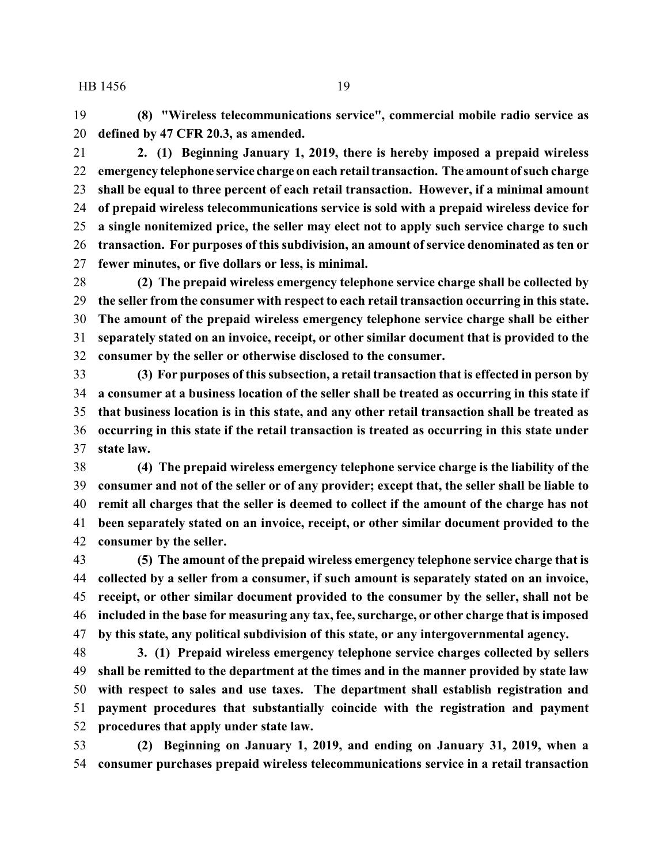**(8) "Wireless telecommunications service", commercial mobile radio service as defined by 47 CFR 20.3, as amended.**

 **2. (1) Beginning January 1, 2019, there is hereby imposed a prepaid wireless emergency telephone service charge on each retail transaction. The amount ofsuch charge shall be equal to three percent of each retail transaction. However, if a minimal amount of prepaid wireless telecommunications service is sold with a prepaid wireless device for a single nonitemized price, the seller may elect not to apply such service charge to such transaction. For purposes of this subdivision, an amount ofservice denominated as ten or fewer minutes, or five dollars or less, is minimal.**

 **(2) The prepaid wireless emergency telephone service charge shall be collected by the seller from the consumer with respect to each retail transaction occurring in this state. The amount of the prepaid wireless emergency telephone service charge shall be either separately stated on an invoice, receipt, or other similar document that is provided to the consumer by the seller or otherwise disclosed to the consumer.**

 **(3) For purposes of this subsection, a retail transaction that is effected in person by a consumer at a business location of the seller shall be treated as occurring in this state if that business location is in this state, and any other retail transaction shall be treated as occurring in this state if the retail transaction is treated as occurring in this state under state law.**

 **(4) The prepaid wireless emergency telephone service charge is the liability of the consumer and not of the seller or of any provider; except that, the seller shall be liable to remit all charges that the seller is deemed to collect if the amount of the charge has not been separately stated on an invoice, receipt, or other similar document provided to the consumer by the seller.**

 **(5) The amount of the prepaid wireless emergency telephone service charge that is collected by a seller from a consumer, if such amount is separately stated on an invoice, receipt, or other similar document provided to the consumer by the seller, shall not be included in the base for measuring any tax, fee, surcharge, or other charge that is imposed by this state, any political subdivision of this state, or any intergovernmental agency.**

 **3. (1) Prepaid wireless emergency telephone service charges collected by sellers shall be remitted to the department at the times and in the manner provided by state law with respect to sales and use taxes. The department shall establish registration and payment procedures that substantially coincide with the registration and payment procedures that apply under state law.**

 **(2) Beginning on January 1, 2019, and ending on January 31, 2019, when a consumer purchases prepaid wireless telecommunications service in a retail transaction**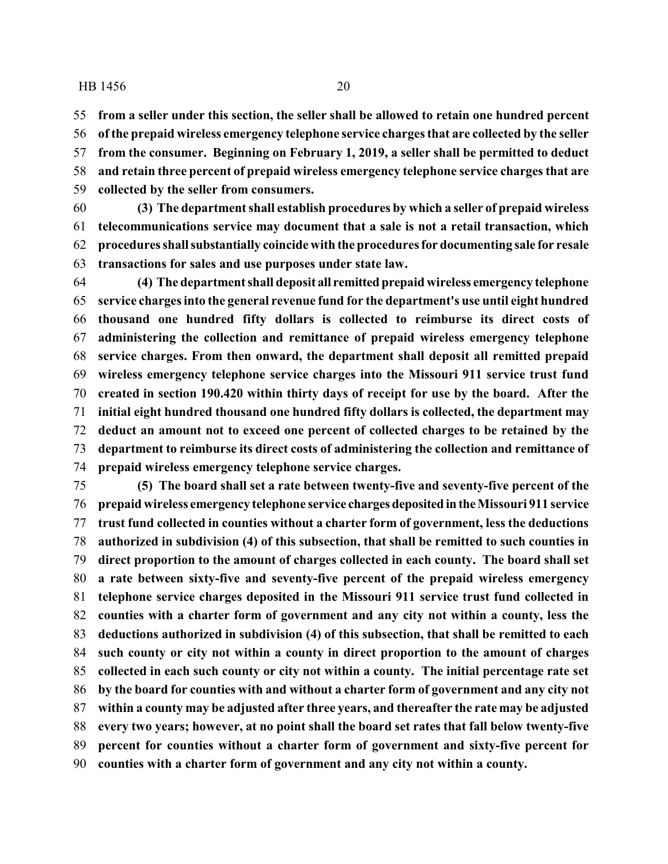**from a seller under this section, the seller shall be allowed to retain one hundred percent**

 **of the prepaid wireless emergency telephone service charges that are collected by the seller from the consumer. Beginning on February 1, 2019, a seller shall be permitted to deduct and retain three percent of prepaid wireless emergency telephone service charges that are collected by the seller from consumers.**

- **(3) The department shall establish procedures by which a seller of prepaid wireless telecommunications service may document that a sale is not a retail transaction, which procedures shallsubstantially coincide with the procedures for documenting sale for resale transactions for sales and use purposes under state law.**
- **(4) The department shall deposit all remitted prepaid wireless emergency telephone service charges into the general revenue fund for the department's use until eight hundred thousand one hundred fifty dollars is collected to reimburse its direct costs of administering the collection and remittance of prepaid wireless emergency telephone service charges. From then onward, the department shall deposit all remitted prepaid wireless emergency telephone service charges into the Missouri 911 service trust fund created in section 190.420 within thirty days of receipt for use by the board. After the initial eight hundred thousand one hundred fifty dollars is collected, the department may deduct an amount not to exceed one percent of collected charges to be retained by the department to reimburse its direct costs of administering the collection and remittance of prepaid wireless emergency telephone service charges.**

 **(5) The board shall set a rate between twenty-five and seventy-five percent of the prepaid wireless emergency telephone service charges deposited intheMissouri 911 service trust fund collected in counties without a charter form of government, less the deductions authorized in subdivision (4) of this subsection, that shall be remitted to such counties in direct proportion to the amount of charges collected in each county. The board shall set a rate between sixty-five and seventy-five percent of the prepaid wireless emergency telephone service charges deposited in the Missouri 911 service trust fund collected in counties with a charter form of government and any city not within a county, less the deductions authorized in subdivision (4) of this subsection, that shall be remitted to each such county or city not within a county in direct proportion to the amount of charges collected in each such county or city not within a county. The initial percentage rate set by the board for counties with and without a charter form of government and any city not within a county may be adjusted after three years, and thereafter the rate may be adjusted every two years; however, at no point shall the board set rates that fall below twenty-five percent for counties without a charter form of government and sixty-five percent for counties with a charter form of government and any city not within a county.**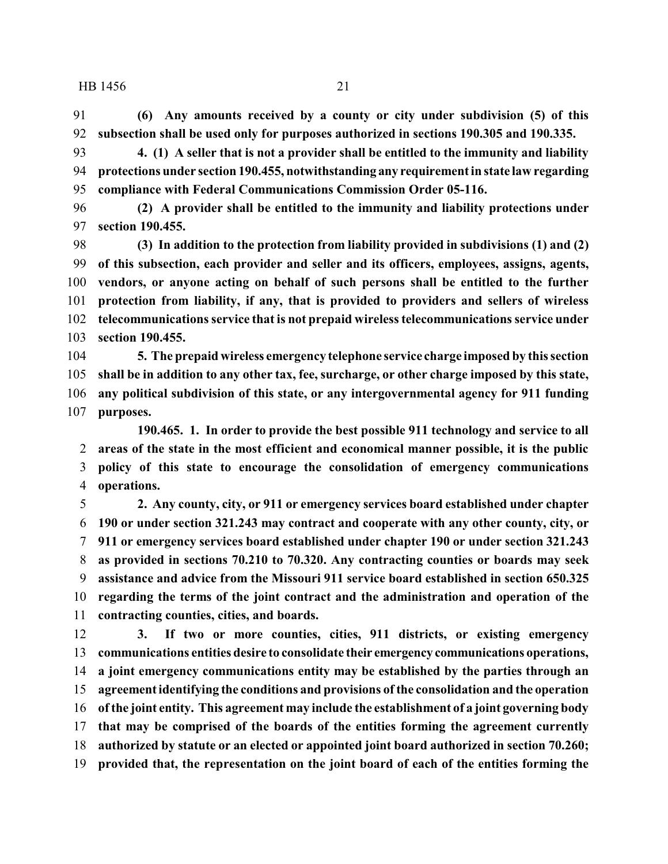**(6) Any amounts received by a county or city under subdivision (5) of this subsection shall be used only for purposes authorized in sections 190.305 and 190.335.**

 **4. (1) A seller that is not a provider shall be entitled to the immunity and liability protections under section 190.455, notwithstanding any requirement in state law regarding compliance with Federal Communications Commission Order 05-116.**

 **(2) A provider shall be entitled to the immunity and liability protections under section 190.455.**

 **(3) In addition to the protection from liability provided in subdivisions (1) and (2) of this subsection, each provider and seller and its officers, employees, assigns, agents, vendors, or anyone acting on behalf of such persons shall be entitled to the further protection from liability, if any, that is provided to providers and sellers of wireless telecommunications service that is not prepaid wireless telecommunications service under section 190.455.**

 **5. The prepaid wireless emergency telephone service charge imposed by this section shall be in addition to any other tax, fee, surcharge, or other charge imposed by this state, any political subdivision of this state, or any intergovernmental agency for 911 funding purposes.**

**190.465. 1. In order to provide the best possible 911 technology and service to all areas of the state in the most efficient and economical manner possible, it is the public policy of this state to encourage the consolidation of emergency communications operations.**

 **2. Any county, city, or 911 or emergency services board established under chapter 190 or under section 321.243 may contract and cooperate with any other county, city, or 911 or emergency services board established under chapter 190 or under section 321.243 as provided in sections 70.210 to 70.320. Any contracting counties or boards may seek assistance and advice from the Missouri 911 service board established in section 650.325 regarding the terms of the joint contract and the administration and operation of the contracting counties, cities, and boards.**

 **3. If two or more counties, cities, 911 districts, or existing emergency communications entities desire to consolidate their emergency communications operations, a joint emergency communications entity may be established by the parties through an agreement identifying the conditions and provisions of the consolidation and the operation of the joint entity. This agreement may include the establishment of a joint governing body that may be comprised of the boards of the entities forming the agreement currently authorized by statute or an elected or appointed joint board authorized in section 70.260; provided that, the representation on the joint board of each of the entities forming the**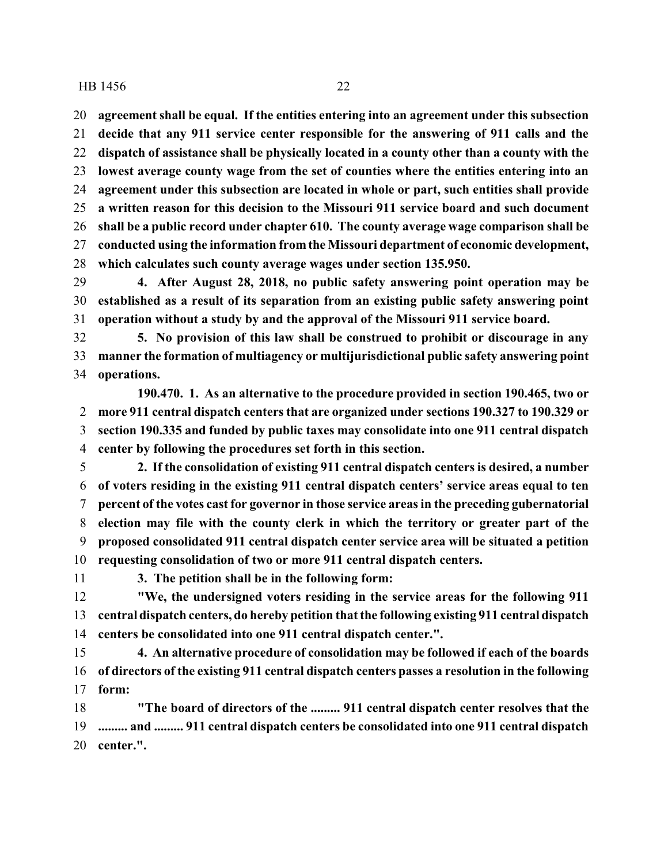**agreement shall be equal. If the entities entering into an agreement under this subsection**

 **decide that any 911 service center responsible for the answering of 911 calls and the dispatch of assistance shall be physically located in a county other than a county with the lowest average county wage from the set of counties where the entities entering into an agreement under this subsection are located in whole or part, such entities shall provide a written reason for this decision to the Missouri 911 service board and such document shall be a public record under chapter 610. The county average wage comparison shall be conducted using the information from the Missouri department of economic development, which calculates such county average wages under section 135.950.**

 **4. After August 28, 2018, no public safety answering point operation may be established as a result of its separation from an existing public safety answering point operation without a study by and the approval of the Missouri 911 service board.**

 **5. No provision of this law shall be construed to prohibit or discourage in any manner the formation of multiagency or multijurisdictional public safety answering point operations.**

**190.470. 1. As an alternative to the procedure provided in section 190.465, two or more 911 central dispatch centers that are organized under sections 190.327 to 190.329 or section 190.335 and funded by public taxes may consolidate into one 911 central dispatch center by following the procedures set forth in this section.**

 **2. If the consolidation of existing 911 central dispatch centers is desired, a number of voters residing in the existing 911 central dispatch centers' service areas equal to ten percent of the votes cast for governor in those service areas in the preceding gubernatorial election may file with the county clerk in which the territory or greater part of the proposed consolidated 911 central dispatch center service area will be situated a petition requesting consolidation of two or more 911 central dispatch centers.**

**3. The petition shall be in the following form:**

 **"We, the undersigned voters residing in the service areas for the following 911 central dispatch centers, do hereby petition that the following existing 911 central dispatch centers be consolidated into one 911 central dispatch center.".**

 **4. An alternative procedure of consolidation may be followed if each of the boards of directors of the existing 911 central dispatch centers passes a resolution in the following form:**

 **"The board of directors of the ......... 911 central dispatch center resolves that the ......... and ......... 911 central dispatch centers be consolidated into one 911 central dispatch center.".**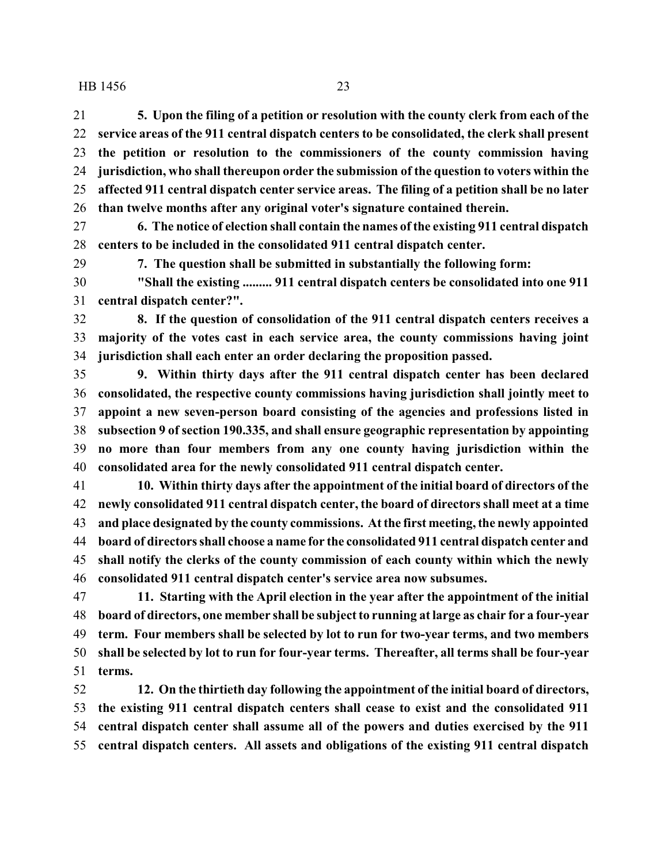**5. Upon the filing of a petition or resolution with the county clerk from each of the service areas of the 911 central dispatch centers to be consolidated, the clerk shall present the petition or resolution to the commissioners of the county commission having jurisdiction, who shall thereupon order the submission of the question to voters within the affected 911 central dispatch center service areas. The filing of a petition shall be no later than twelve months after any original voter's signature contained therein.**

 **6. The notice of election shall contain the names of the existing 911 central dispatch centers to be included in the consolidated 911 central dispatch center.**

**7. The question shall be submitted in substantially the following form:**

 **"Shall the existing ......... 911 central dispatch centers be consolidated into one 911 central dispatch center?".**

 **8. If the question of consolidation of the 911 central dispatch centers receives a majority of the votes cast in each service area, the county commissions having joint jurisdiction shall each enter an order declaring the proposition passed.**

 **9. Within thirty days after the 911 central dispatch center has been declared consolidated, the respective county commissions having jurisdiction shall jointly meet to appoint a new seven-person board consisting of the agencies and professions listed in subsection 9 of section 190.335, and shall ensure geographic representation by appointing no more than four members from any one county having jurisdiction within the consolidated area for the newly consolidated 911 central dispatch center.**

 **10. Within thirty days after the appointment of the initial board of directors of the newly consolidated 911 central dispatch center, the board of directors shall meet at a time and place designated by the county commissions. At the first meeting, the newly appointed board of directors shall choose a name for the consolidated 911 central dispatch center and shall notify the clerks of the county commission of each county within which the newly consolidated 911 central dispatch center's service area now subsumes.**

 **11. Starting with the April election in the year after the appointment of the initial board of directors, one member shall be subject to running at large as chair for a four-year term. Four members shall be selected by lot to run for two-year terms, and two members shall be selected by lot to run for four-year terms. Thereafter, all terms shall be four-year terms.**

 **12. On the thirtieth day following the appointment of the initial board of directors, the existing 911 central dispatch centers shall cease to exist and the consolidated 911 central dispatch center shall assume all of the powers and duties exercised by the 911 central dispatch centers. All assets and obligations of the existing 911 central dispatch**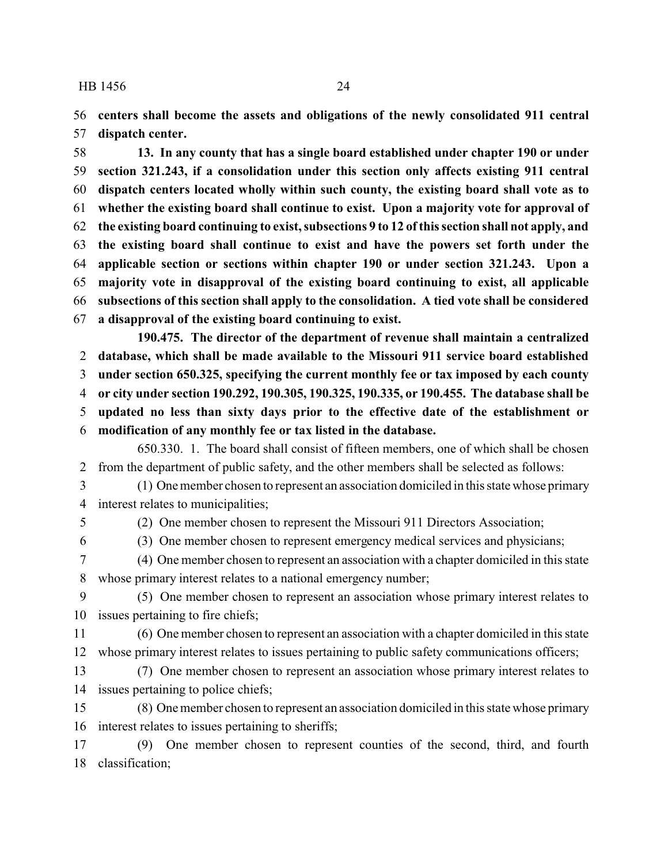**centers shall become the assets and obligations of the newly consolidated 911 central dispatch center.**

 **13. In any county that has a single board established under chapter 190 or under section 321.243, if a consolidation under this section only affects existing 911 central dispatch centers located wholly within such county, the existing board shall vote as to whether the existing board shall continue to exist. Upon a majority vote for approval of the existing board continuing to exist, subsections 9 to 12 of this section shall not apply, and the existing board shall continue to exist and have the powers set forth under the applicable section or sections within chapter 190 or under section 321.243. Upon a majority vote in disapproval of the existing board continuing to exist, all applicable subsections of this section shall apply to the consolidation. A tied vote shall be considered a disapproval of the existing board continuing to exist.**

**190.475. The director of the department of revenue shall maintain a centralized database, which shall be made available to the Missouri 911 service board established under section 650.325, specifying the current monthly fee or tax imposed by each county or city under section 190.292, 190.305, 190.325, 190.335, or 190.455. The database shall be updated no less than sixty days prior to the effective date of the establishment or modification of any monthly fee or tax listed in the database.**

650.330. 1. The board shall consist of fifteen members, one of which shall be chosen from the department of public safety, and the other members shall be selected as follows:

 (1) One member chosen to represent an association domiciled in this state whose primary interest relates to municipalities;

(2) One member chosen to represent the Missouri 911 Directors Association;

(3) One member chosen to represent emergency medical services and physicians;

 (4) One member chosen to represent an association with a chapter domiciled in this state whose primary interest relates to a national emergency number;

 (5) One member chosen to represent an association whose primary interest relates to issues pertaining to fire chiefs;

 (6) One member chosen to represent an association with a chapter domiciled in this state whose primary interest relates to issues pertaining to public safety communications officers;

 (7) One member chosen to represent an association whose primary interest relates to issues pertaining to police chiefs;

 (8) One member chosen to represent an association domiciled in this state whose primary interest relates to issues pertaining to sheriffs;

 (9) One member chosen to represent counties of the second, third, and fourth classification;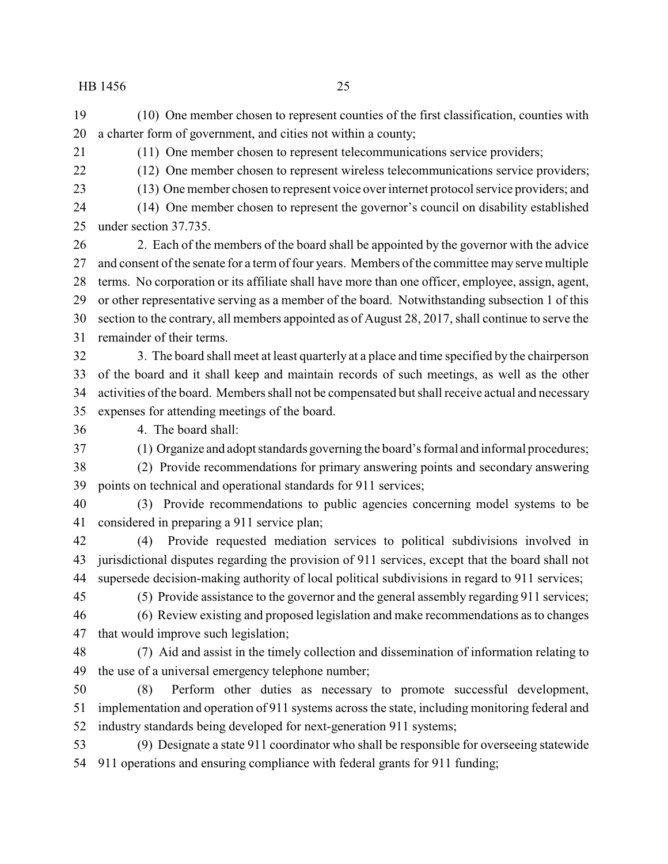(10) One member chosen to represent counties of the first classification, counties with a charter form of government, and cities not within a county;

(11) One member chosen to represent telecommunications service providers;

(12) One member chosen to represent wireless telecommunications service providers;

(13) One member chosen to represent voice over internet protocol service providers; and

(14) One member chosen to represent the governor's council on disability established

under section 37.735.

 2. Each of the members of the board shall be appointed by the governor with the advice and consent of the senate for a term of four years. Members of the committee may serve multiple terms. No corporation or its affiliate shall have more than one officer, employee, assign, agent, or other representative serving as a member of the board. Notwithstanding subsection 1 of this section to the contrary, all members appointed as of August 28, 2017, shall continue to serve the remainder of their terms.

 3. The board shall meet at least quarterly at a place and time specified by the chairperson of the board and it shall keep and maintain records of such meetings, as well as the other activities of the board. Members shall not be compensated but shall receive actual and necessary expenses for attending meetings of the board.

4. The board shall:

(1) Organize and adopt standards governing the board's formal and informal procedures;

 (2) Provide recommendations for primary answering points and secondary answering points on technical and operational standards for 911 services;

 (3) Provide recommendations to public agencies concerning model systems to be considered in preparing a 911 service plan;

 (4) Provide requested mediation services to political subdivisions involved in jurisdictional disputes regarding the provision of 911 services, except that the board shall not supersede decision-making authority of local political subdivisions in regard to 911 services;

(5) Provide assistance to the governor and the general assembly regarding 911 services;

 (6) Review existing and proposed legislation and make recommendations as to changes that would improve such legislation;

 (7) Aid and assist in the timely collection and dissemination of information relating to the use of a universal emergency telephone number;

 (8) Perform other duties as necessary to promote successful development, implementation and operation of 911 systems across the state, including monitoring federal and industry standards being developed for next-generation 911 systems;

 (9) Designate a state 911 coordinator who shall be responsible for overseeing statewide 911 operations and ensuring compliance with federal grants for 911 funding;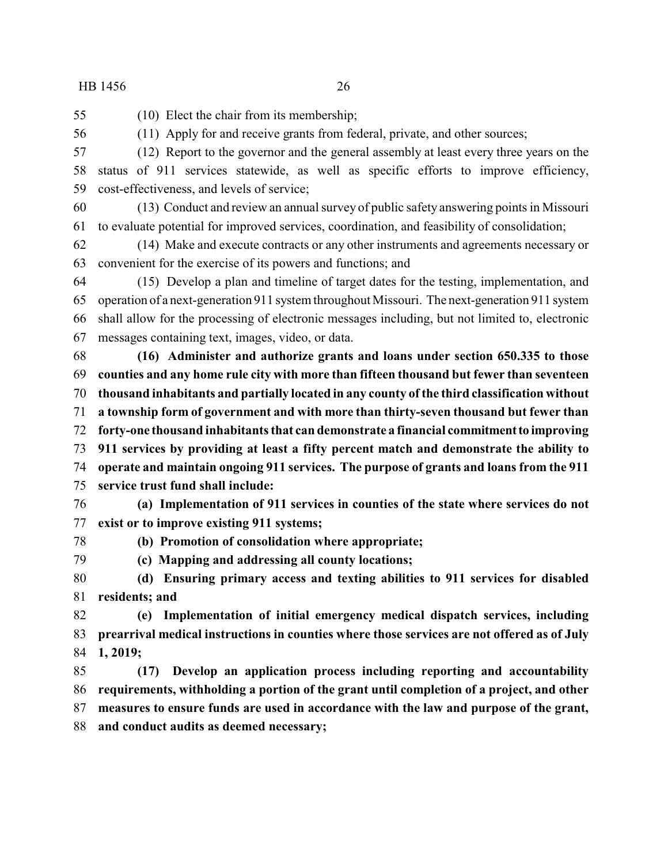- (10) Elect the chair from its membership;
- (11) Apply for and receive grants from federal, private, and other sources;

 (12) Report to the governor and the general assembly at least every three years on the status of 911 services statewide, as well as specific efforts to improve efficiency, cost-effectiveness, and levels of service;

 (13) Conduct and review an annual survey of public safety answering points in Missouri to evaluate potential for improved services, coordination, and feasibility of consolidation;

 (14) Make and execute contracts or any other instruments and agreements necessary or convenient for the exercise of its powers and functions; and

 (15) Develop a plan and timeline of target dates for the testing, implementation, and operation of a next-generation 911 system throughout Missouri. The next-generation 911 system shall allow for the processing of electronic messages including, but not limited to, electronic messages containing text, images, video, or data.

 **(16) Administer and authorize grants and loans under section 650.335 to those counties and any home rule city with more than fifteen thousand but fewer than seventeen thousand inhabitants and partially located in any county of the third classification without a township form of government and with more than thirty-seven thousand but fewer than forty-one thousand inhabitants that can demonstrate a financial commitmentto improving 911 services by providing at least a fifty percent match and demonstrate the ability to operate and maintain ongoing 911 services. The purpose of grants and loans from the 911 service trust fund shall include:**

 **(a) Implementation of 911 services in counties of the state where services do not exist or to improve existing 911 systems;**

- 
- **(b) Promotion of consolidation where appropriate;**
- **(c) Mapping and addressing all county locations;**

 **(d) Ensuring primary access and texting abilities to 911 services for disabled residents; and**

 **(e) Implementation of initial emergency medical dispatch services, including prearrival medical instructions in counties where those services are not offered as of July 1, 2019;**

 **(17) Develop an application process including reporting and accountability requirements, withholding a portion of the grant until completion of a project, and other measures to ensure funds are used in accordance with the law and purpose of the grant, and conduct audits as deemed necessary;**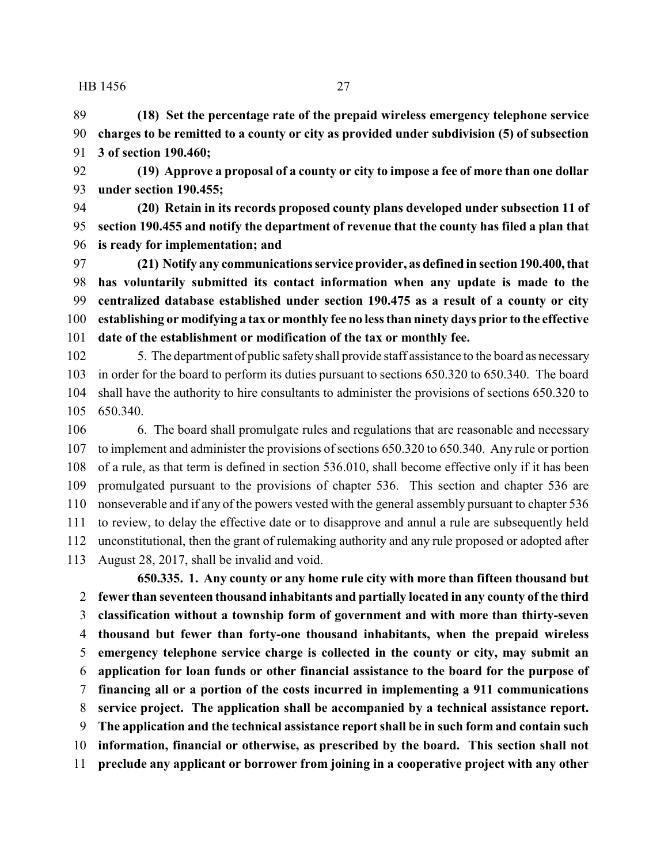**(18) Set the percentage rate of the prepaid wireless emergency telephone service charges to be remitted to a county or city as provided under subdivision (5) of subsection 3 of section 190.460;**

 **(19) Approve a proposal of a county or city to impose a fee of more than one dollar under section 190.455;**

 **(20) Retain in its records proposed county plans developed under subsection 11 of section 190.455 and notify the department of revenue that the county has filed a plan that is ready for implementation; and**

 **(21) Notify any communications service provider, as defined in section 190.400,that has voluntarily submitted its contact information when any update is made to the centralized database established under section 190.475 as a result of a county or city establishing or modifying a tax or monthly fee no less than ninety days prior to the effective date of the establishment or modification of the tax or monthly fee.**

 5. The department of public safetyshall provide staff assistance to the board as necessary in order for the board to perform its duties pursuant to sections 650.320 to 650.340. The board shall have the authority to hire consultants to administer the provisions of sections 650.320 to 650.340.

 6. The board shall promulgate rules and regulations that are reasonable and necessary to implement and administer the provisions of sections 650.320 to 650.340. Any rule or portion of a rule, as that term is defined in section 536.010, shall become effective only if it has been promulgated pursuant to the provisions of chapter 536. This section and chapter 536 are nonseverable and if any of the powers vested with the general assembly pursuant to chapter 536 to review, to delay the effective date or to disapprove and annul a rule are subsequently held unconstitutional, then the grant of rulemaking authority and any rule proposed or adopted after August 28, 2017, shall be invalid and void.

**650.335. 1. Any county or any home rule city with more than fifteen thousand but fewer than seventeen thousand inhabitants and partially located in any county of the third classification without a township form of government and with more than thirty-seven thousand but fewer than forty-one thousand inhabitants, when the prepaid wireless emergency telephone service charge is collected in the county or city, may submit an application for loan funds or other financial assistance to the board for the purpose of financing all or a portion of the costs incurred in implementing a 911 communications service project. The application shall be accompanied by a technical assistance report. The application and the technical assistance report shall be in such form and contain such information, financial or otherwise, as prescribed by the board. This section shall not preclude any applicant or borrower from joining in a cooperative project with any other**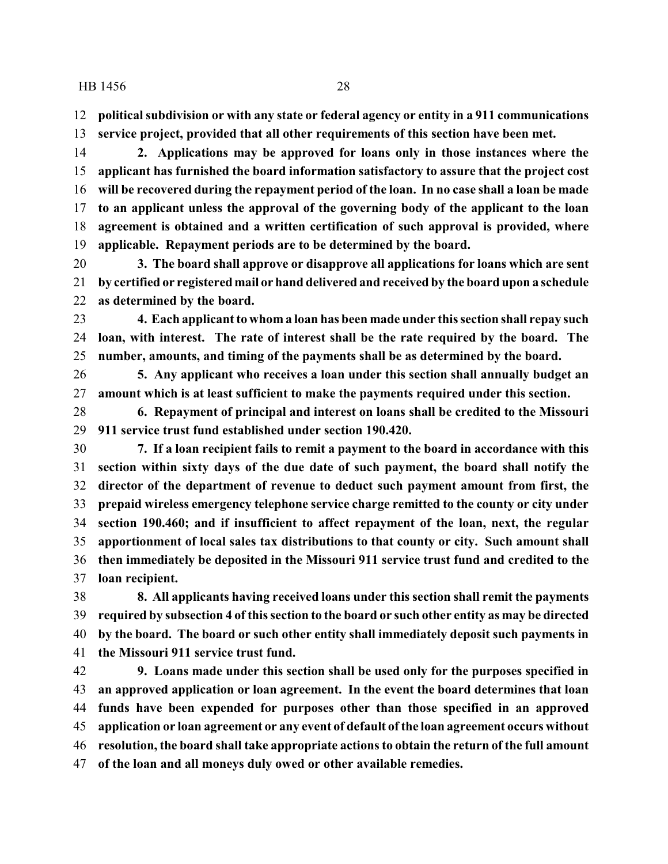**political subdivision or with any state or federal agency or entity in a 911 communications**

**service project, provided that all other requirements of this section have been met.**

 **2. Applications may be approved for loans only in those instances where the applicant has furnished the board information satisfactory to assure that the project cost will be recovered during the repayment period of the loan. In no case shall a loan be made to an applicant unless the approval of the governing body of the applicant to the loan agreement is obtained and a written certification of such approval is provided, where applicable. Repayment periods are to be determined by the board.**

 **3. The board shall approve or disapprove all applications for loans which are sent by certified or registered mail or hand delivered and received by the board upon a schedule as determined by the board.**

 **4. Each applicant to whom a loan has been made under this section shall repay such loan, with interest. The rate of interest shall be the rate required by the board. The number, amounts, and timing of the payments shall be as determined by the board.**

 **5. Any applicant who receives a loan under this section shall annually budget an amount which is at least sufficient to make the payments required under this section.**

 **6. Repayment of principal and interest on loans shall be credited to the Missouri 911 service trust fund established under section 190.420.**

 **7. If a loan recipient fails to remit a payment to the board in accordance with this section within sixty days of the due date of such payment, the board shall notify the director of the department of revenue to deduct such payment amount from first, the prepaid wireless emergency telephone service charge remitted to the county or city under section 190.460; and if insufficient to affect repayment of the loan, next, the regular apportionment of local sales tax distributions to that county or city. Such amount shall then immediately be deposited in the Missouri 911 service trust fund and credited to the loan recipient.**

 **8. All applicants having received loans under this section shall remit the payments required by subsection 4 of this section to the board or such other entity as may be directed by the board. The board or such other entity shall immediately deposit such payments in the Missouri 911 service trust fund.**

 **9. Loans made under this section shall be used only for the purposes specified in an approved application or loan agreement. In the event the board determines that loan funds have been expended for purposes other than those specified in an approved application or loan agreement or any event of default of the loan agreement occurs without resolution, the board shall take appropriate actions to obtain the return of the full amount of the loan and all moneys duly owed or other available remedies.**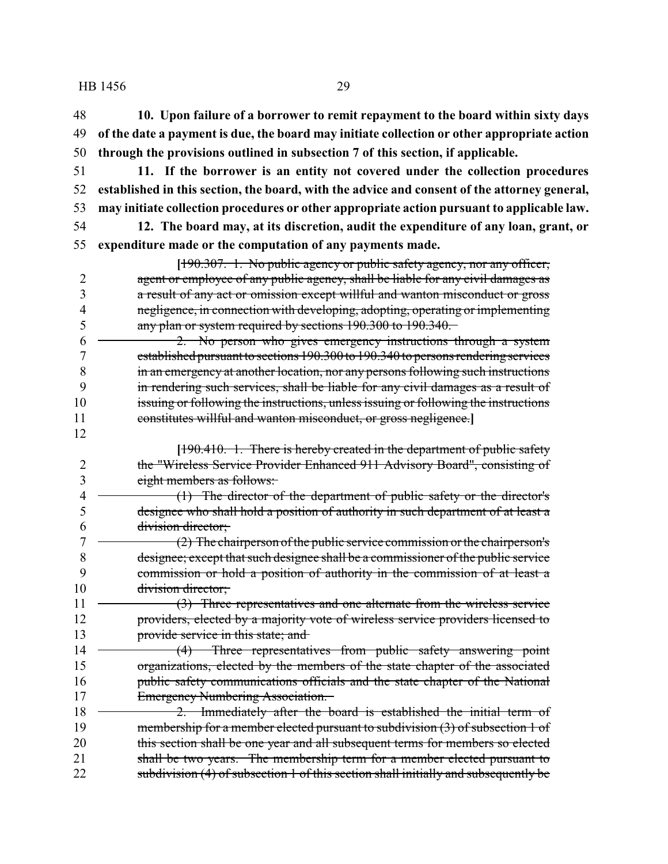**10. Upon failure of a borrower to remit repayment to the board within sixty days of the date a payment is due, the board may initiate collection or other appropriate action through the provisions outlined in subsection 7 of this section, if applicable.**

- **11. If the borrower is an entity not covered under the collection procedures established in this section, the board, with the advice and consent of the attorney general, may initiate collection procedures or other appropriate action pursuant to applicable law.**
- 
- 

 **12. The board may, at its discretion, audit the expenditure of any loan, grant, or expenditure made or the computation of any payments made.**

**[**190.307. 1. No public agency or public safety agency, nor any officer, agent or employee of any public agency, shall be liable for any civil damages as a result of any act or omission except willful and wanton misconduct or gross negligence, in connection with developing, adopting, operating or implementing 5 any plan or system required by sections 190.300 to 190.340.

 2. No person who gives emergency instructions through a system established pursuant to sections 190.300 to 190.340 to persons rendering services in an emergency at another location, nor any persons following such instructions in rendering such services, shall be liable for any civil damages as a result of issuing or following the instructions, unless issuing or following the instructions constitutes willful and wanton misconduct, or gross negligence.**]**

**[**190.410. 1. There is hereby created in the department of public safety the "Wireless Service Provider Enhanced 911 Advisory Board", consisting of eight members as follows:

 (1) The director of the department of public safety or the director's designee who shall hold a position of authority in such department of at least a division director;

 $7 \leftarrow$  (2) The chairperson of the public service commission or the chairperson's designee; except that such designee shall be a commissioner of the public service commission or hold a position of authority in the commission of at least a 10 <del>division director;</del>

11 (3) Three representatives and one alternate from the wireless service providers, elected by a majority vote of wireless service providers licensed to 13 provide service in this state; and

14 (4) Three representatives from public safety answering point organizations, elected by the members of the state chapter of the associated public safety communications officials and the state chapter of the National 17 Emergency Numbering Association.

18 — 2. Immediately after the board is established the initial term of 19 membership for a member elected pursuant to subdivision (3) of subsection 1 of 20 this section shall be one year and all subsequent terms for members so elected 21 shall be two years. The membership term for a member elected pursuant to 22 subdivision (4) of subsection 1 of this section shall initially and subsequently be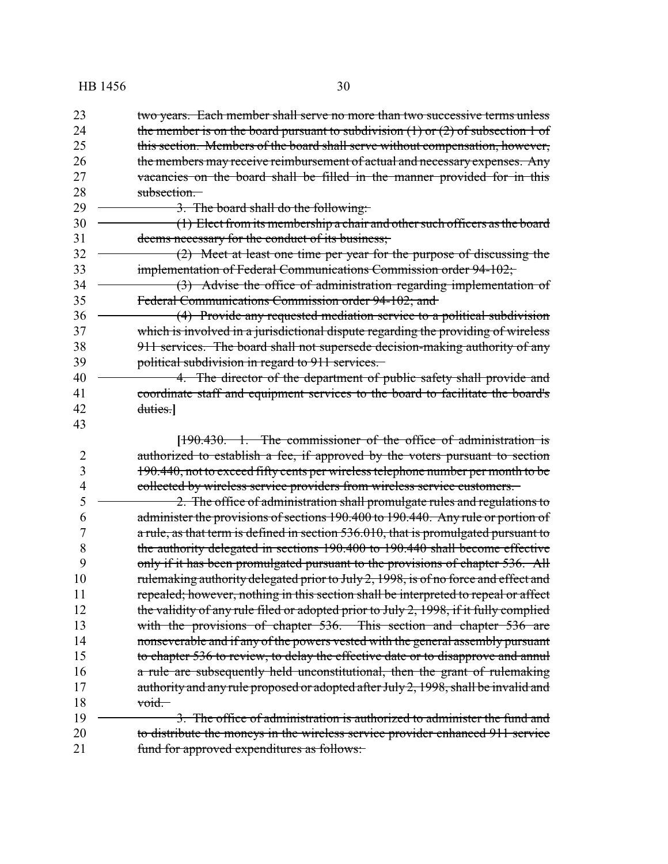23 two years. Each member shall serve no more than two successive terms unless 24 the member is on the board pursuant to subdivision  $(1)$  or  $(2)$  of subsection 1 of 25 this section. Members of the board shall serve without compensation, however, 26 the members may receive reimbursement of actual and necessary expenses. Any 27 vacancies on the board shall be filled in the manner provided for in this 28 subsection.  $29 \rightarrow 3$ . The board shall do the following: 30 (1) Elect from its membership a chair and other such officers as the board 31 deems necessary for the conduct of its business; 32 (2) Meet at least one time per year for the purpose of discussing the 33 implementation of Federal Communications Commission order 94-102; 34 (3) Advise the office of administration regarding implementation of 35 Federal Communications Commission order 94-102; and 36 (4) Provide any requested mediation service to a political subdivision 37 which is involved in a jurisdictional dispute regarding the providing of wireless 38 911 services. The board shall not supersede decision-making authority of any 39 **political subdivision in regard to 911 services.** 40 - 4. The director of the department of public safety shall provide and 41 coordinate staff and equipment services to the board to facilitate the board's 42 duties.**]** 43 **[**190.430. 1. The commissioner of the office of administration is 2 authorized to establish a fee, if approved by the voters pursuant to section 3 190.440, not to exceed fifty cents per wireless telephone number per month to be 4 collected by wireless service providers from wireless service customers.  $5 \sim 2$ . The office of administration shall promulgate rules and regulations to 6 administer the provisions of sections 190.400 to 190.440. Any rule or portion of 7 a rule, as that term is defined in section 536.010, that is promulgated pursuant to 8 the authority delegated in sections 190.400 to 190.440 shall become effective 9 only if it has been promulgated pursuant to the provisions of chapter 536. All 10 rulemaking authority delegated prior to July 2, 1998, is of no force and effect and 11 repealed; however, nothing in this section shall be interpreted to repeal or affect 12 the validity of any rule filed or adopted prior to July 2, 1998, if it fully complied 13 with the provisions of chapter 536. This section and chapter 536 are 14 nonseverable and if any of the powers vested with the general assembly pursuant 15 to chapter 536 to review, to delay the effective date or to disapprove and annul 16 a rule are subsequently held unconstitutional, then the grant of rulemaking 17 authority and any rule proposed or adopted after July 2, 1998, shall be invalid and  $18 \longrightarrow \text{void.}$ 19 <del>4. 2. 2. The office of administration is authorized to administer the fund and</del> 20 to distribute the moneys in the wireless service provider enhanced 911 service 21 fund for approved expenditures as follows: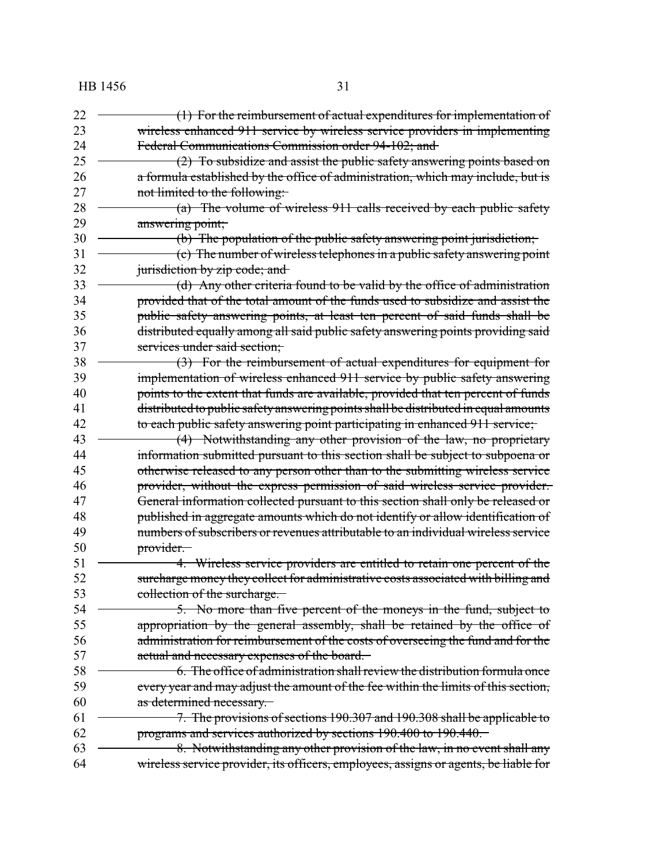| 22 | (1) For the reimbursement of actual expenditures for implementation of               |
|----|--------------------------------------------------------------------------------------|
| 23 | wireless enhanced 911 service by wireless service providers in implementing          |
| 24 | Federal Communications Commission order 94-102; and                                  |
| 25 | (2) To subsidize and assist the public safety answering points based on              |
| 26 | a formula established by the office of administration, which may include, but is     |
| 27 | not limited to the following:                                                        |
| 28 | $(a)$ The volume of wireless 911 calls received by each public safety                |
| 29 | answering point;                                                                     |
| 30 | (b) The population of the public safety answering point jurisdiction;                |
| 31 | (c) The number of wireless telephones in a public safety answering point             |
| 32 | jurisdiction by zip code; and                                                        |
| 33 | (d) Any other criteria found to be valid by the office of administration             |
| 34 | provided that of the total amount of the funds used to subsidize and assist the      |
| 35 | public safety answering points, at least ten percent of said funds shall be          |
| 36 | distributed equally among all said public safety answering points providing said     |
| 37 | services under said section;                                                         |
| 38 | $(3)$ For the reimbursement of actual expenditures for equipment for                 |
| 39 | implementation of wireless enhanced 911 service by public safety answering           |
| 40 | points to the extent that funds are available, provided that ten percent of funds    |
| 41 | distributed to public safety answering points shall be distributed in equal amounts  |
| 42 | to each public safety answering point participating in enhanced 911 service;         |
| 43 | (4) Notwithstanding any other provision of the law, no proprietary                   |
| 44 | information submitted pursuant to this section shall be subject to subpoena or       |
| 45 | otherwise released to any person other than to the submitting wireless service       |
| 46 | provider, without the express permission of said wireless service provider.          |
| 47 | General information collected pursuant to this section shall only be released or     |
| 48 | published in aggregate amounts which do not identify or allow identification of      |
| 49 | numbers of subscribers or revenues attributable to an individual wireless service    |
| 50 | provider.                                                                            |
| 51 | 4. Wireless service providers are entitled to retain one percent of the              |
| 52 | surcharge money they collect for administrative costs associated with billing and    |
| 53 | collection of the surcharge.                                                         |
| 54 | 5. No more than five percent of the moneys in the fund, subject to                   |
| 55 | appropriation by the general assembly, shall be retained by the office of            |
| 56 | administration for reimbursement of the costs of overseeing the fund and for the     |
| 57 | actual and necessary expenses of the board.                                          |
| 58 | 6. The office of administration shall review the distribution formula once           |
| 59 | every year and may adjust the amount of the fee within the limits of this section,   |
| 60 | as determined necessary.                                                             |
| 61 | 7. The provisions of sections 190.307 and 190.308 shall be applicable to             |
| 62 | programs and services authorized by sections 190.400 to 190.440.                     |
| 63 | 8. Notwithstanding any other provision of the law, in no event shall any             |
| 64 | wireless service provider, its officers, employees, assigns or agents, be liable for |